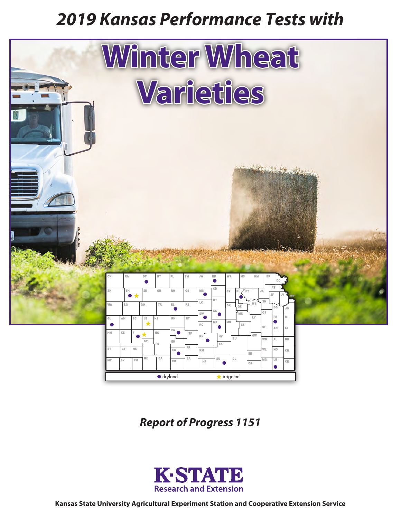# *2019 Kansas Performance Tests with*



*Report of Progress 1151*

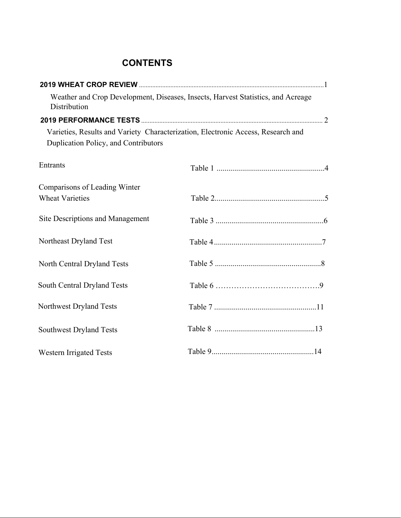# **CONTENTS**

| Distribution                         | Weather and Crop Development, Diseases, Insects, Harvest Statistics, and Acreage |
|--------------------------------------|----------------------------------------------------------------------------------|
|                                      |                                                                                  |
| Duplication Policy, and Contributors | Varieties, Results and Variety Characterization, Electronic Access, Research and |
| <b>Entrants</b>                      |                                                                                  |
| Comparisons of Leading Winter        |                                                                                  |
| <b>Wheat Varieties</b>               |                                                                                  |
| Site Descriptions and Management     |                                                                                  |
| Northeast Dryland Test               |                                                                                  |
| North Central Dryland Tests          |                                                                                  |
| South Central Dryland Tests          |                                                                                  |
| Northwest Dryland Tests              |                                                                                  |
| <b>Southwest Dryland Tests</b>       |                                                                                  |
| <b>Western Irrigated Tests</b>       |                                                                                  |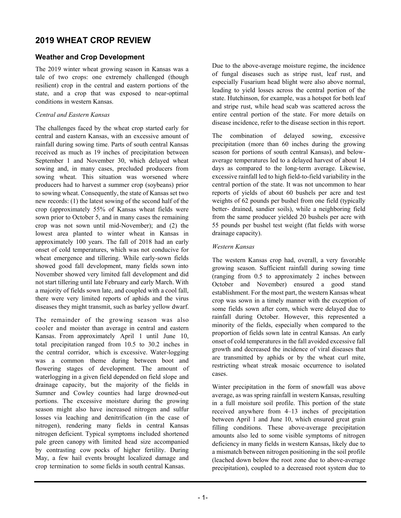# **2019 WHEAT CROP REVIEW**

# **Weather and Crop Development**

The 2019 winter wheat growing season in Kansas was a tale of two crops: one extremely challenged (though resilient) crop in the central and eastern portions of the state, and a crop that was exposed to near-optimal conditions in western Kansas.

#### *Central and Eastern Kansas*

The challenges faced by the wheat crop started early for central and eastern Kansas, with an excessive amount of rainfall during sowing time. Parts of south central Kansas received as much as 19 inches of precipitation between September 1 and November 30, which delayed wheat sowing and, in many cases, precluded producers from sowing wheat. This situation was worsened where producers had to harvest a summer crop (soybeans) prior to sowing wheat. Consequently, the state of Kansas set two new records: (1) the latest sowing of the second half of the crop (approximately 55% of Kansas wheat fields were sown prior to October 5, and in many cases the remaining crop was not sown until mid-November); and (2) the lowest area planted to winter wheat in Kansas in approximately 100 years. The fall of 2018 had an early onset of cold temperatures, which was not conducive for wheat emergence and tillering. While early-sown fields showed good fall development, many fields sown into November showed very limited fall development and did not start tillering until late February and early March. With a majority of fields sown late, and coupled with a cool fall, there were very limited reports of aphids and the virus diseases they might transmit, such as barley yellow dwarf.

The remainder of the growing season was also cooler and moister than average in central and eastern Kansas. From approximately April 1 until June 10, total precipitation ranged from 10.5 to 30.2 inches in the central corridor, which is excessive. Water-logging was a common theme during between boot and flowering stages of development. The amount of waterlogging in a given field depended on field slope and drainage capacity, but the majority of the fields in Sumner and Cowley counties had large drowned-out portions. The excessive moisture during the growing season might also have increased nitrogen and sulfur losses via leaching and denitrification (in the case of nitrogen), rendering many fields in central Kansas nitrogen deficient. Typical symptoms included shortened pale green canopy with limited head size accompanied by contrasting cow pocks of higher fertility. During May, a few hail events brought localized damage and crop termination to some fields in south central Kansas.

Due to the above-average moisture regime, the incidence of fungal diseases such as stripe rust, leaf rust, and especially Fusarium head blight were also above normal, leading to yield losses across the central portion of the state. Hutchinson, for example, was a hotspot for both leaf and stripe rust, while head scab was scattered across the entire central portion of the state. For more details on disease incidence, refer to the disease section in this report.

The combination of delayed sowing, excessive precipitation (more than 60 inches during the growing season for portions of south central Kansas), and belowaverage temperatures led to a delayed harvest of about 14 days as compared to the long-term average. Likewise, excessive rainfall led to high field-to-field variability in the central portion of the state. It was not uncommon to hear reports of yields of about 60 bushels per acre and test weights of 62 pounds per bushel from one field (typically better- drained, sandier soils), while a neighboring field from the same producer yielded 20 bushels per acre with 55 pounds per bushel test weight (flat fields with worse drainage capacity).

#### *Western Kansas*

The western Kansas crop had, overall, a very favorable growing season. Sufficient rainfall during sowing time (ranging from 0.5 to approximately 2 inches between October and November) ensured a good stand establishment. For the most part, the western Kansas wheat crop was sown in a timely manner with the exception of some fields sown after corn, which were delayed due to rainfall during October. However, this represented a minority of the fields, especially when compared to the proportion of fields sown late in central Kansas. An early onset of cold temperatures in the fall avoided excessive fall growth and decreased the incidence of viral diseases that are transmitted by aphids or by the wheat curl mite, restricting wheat streak mosaic occurrence to isolated cases.

Winter precipitation in the form of snowfall was above average, as was spring rainfall in western Kansas, resulting in a full moisture soil profile. This portion of the state received anywhere from 4–13 inches of precipitation between April 1 and June 10, which ensured great grain filling conditions. These above-average precipitation amounts also led to some visible symptoms of nitrogen deficiency in many fields in western Kansas, likely due to a mismatch between nitrogen positioning in the soil profile (leached down below the root zone due to above-average precipitation), coupled to a decreased root system due to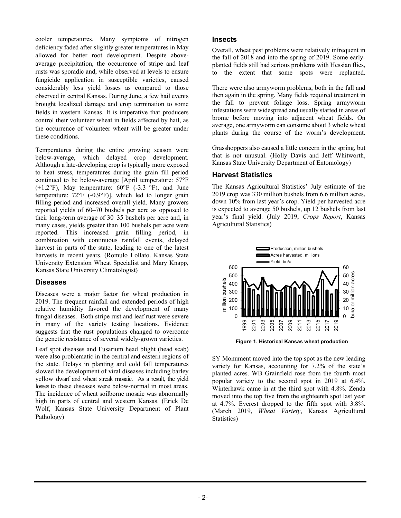cooler temperatures. Many symptoms of nitrogen deficiency faded after slightly greater temperatures in May allowed for better root development. Despite aboveaverage precipitation, the occurrence of stripe and leaf rusts was sporadic and, while observed at levels to ensure fungicide application in susceptible varieties, caused considerably less yield losses as compared to those observed in central Kansas. During June, a few hail events brought localized damage and crop termination to some fields in western Kansas. It is imperative that producers control their volunteer wheat in fields affected by hail, as the occurrence of volunteer wheat will be greater under these conditions.

Temperatures during the entire growing season were below-average, which delayed crop development. Although a late-developing crop is typically more exposed to heat stress, temperatures during the grain fill period continued to be below-average [April temperature: 57°F  $(+1.2^{\circ}F)$ , May temperature:  $60^{\circ}F$  (-3.3  $^{\circ}F$ ), and June temperature: 72°F (-0.9°F)], which led to longer grain filling period and increased overall yield. Many growers reported yields of 60–70 bushels per acre as opposed to their long-term average of 30–35 bushels per acre and, in many cases, yields greater than 100 bushels per acre were reported. This increased grain filling period, in combination with continuous rainfall events, delayed harvest in parts of the state, leading to one of the latest harvests in recent years. (Romulo Lollato. Kansas State University Extension Wheat Specialist and Mary Knapp, Kansas State University Climatologist)

#### **Diseases**

Diseases were a major factor for wheat production in 2019. The frequent rainfall and extended periods of high relative humidity favored the development of many fungal diseases. Both stripe rust and leaf rust were severe in many of the variety testing locations. Evidence suggests that the rust populations changed to overcome the genetic resistance of several widely-grown varieties.

Leaf spot diseases and Fusarium head blight (head scab) were also problematic in the central and eastern regions of the state. Delays in planting and cold fall temperatures slowed the development of viral diseases including barley yellow dwarf and wheat streak mosaic. As a result, the yield losses to these diseases were below-normal in most areas. The incidence of wheat soilborne mosaic was abnormally high in parts of central and western Kansas. (Erick De Wolf, Kansas State University Department of Plant Pathology)

#### **Insects**

Overall, wheat pest problems were relatively infrequent in the fall of 2018 and into the spring of 2019. Some earlyplanted fields still had serious problems with Hessian flies, to the extent that some spots were replanted.

There were also armyworm problems, both in the fall and then again in the spring. Many fields required treatment in the fall to prevent foliage loss. Spring armyworm infestations were widespread and usually started in areas of brome before moving into adjacent wheat fields. On average, one armyworm can consume about 3 whole wheat plants during the course of the worm's development.

Grasshoppers also caused a little concern in the spring, but that is not unusual. (Holly Davis and Jeff Whitworth, Kansas State University Department of Entomology)

#### **Harvest Statistics**

The Kansas Agricultural Statistics' July estimate of the 2019 crop was 330 million bushels from 6.6 million acres, down 10% from last year's crop. Yield per harvested acre is expected to average 50 bushels, up 12 bushels from last year's final yield. (July 2019, *Crops Report*, Kansas Agricultural Statistics)



**Figure 1. Historical Kansas wheat production**

SY Monument moved into the top spot as the new leading variety for Kansas, accounting for 7.2% of the state's planted acres. WB Grainfield rose from the fourth most popular variety to the second spot in 2019 at 6.4%. Winterhawk came in at the third spot with 4.8%. Zenda moved into the top five from the eighteenth spot last year at 4.7%. Everest dropped to the fifth spot with 3.8%. (March 2019, *Wheat Variety*, Kansas Agricultural Statistics)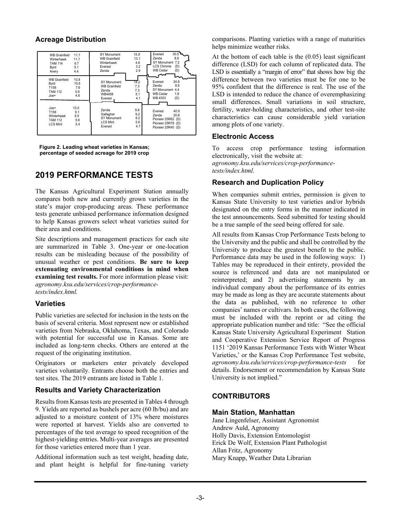# **Acreage Distribution**



**Figure 2. Leading wheat varieties in Kansas; percentage of seeded acreage for 2019 crop**

# **2019 PERFORMANCE TESTS**

The Kansas Agricultural Experiment Station annually compares both new and currently grown varieties in the state's major crop-producing areas. These performance tests generate unbiased performance information designed to help Kansas growers select wheat varieties suited for their area and conditions.

Site descriptions and management practices for each site are summarized in Table 3. One-year or one-location results can be misleading because of the possibility of unusual weather or pest conditions. **Be sure to keep extenuating environmental conditions in mind when examining test results.** For more information please visit: *[agronomy.ksu.edu/services/crop-performance](https://www.agronomy.k-state.edu/services/crop-performance-tests/index.html)tests/index.html.*

#### **Varieties**

Public varieties are selected for inclusion in the tests on the basis of several criteria. Most represent new or established varieties from Nebraska, Oklahoma, Texas, and Colorado with potential for successful use in Kansas. Some are included as long-term checks. Others are entered at the request of the originating institution.

Originators or marketers enter privately developed varieties voluntarily. Entrants choose both the entries and test sites. The 2019 entrants are listed in Table 1.

# **Results and Variety Characterization**

Results from Kansas tests are presented in Tables 4 through 9. Yields are reported as bushels per acre (60 lb/bu) and are adjusted to a moisture content of 13% where moistures were reported at harvest. Yields also are converted to percentages of the test average to speed recognition of the highest-yielding entries. Multi-year averages are presented for those varieties entered more than 1 year.

Additional information such as test weight, heading date, and plant height is helpful for fine-tuning variety

comparisons. Planting varieties with a range of maturities helps minimize weather risks.

At the bottom of each table is the (0.05) least significant difference (LSD) for each column of replicated data. The LSD is essentially a "margin of error" that shows how big the difference between two varieties must be for one to be 95% confident that the difference is real. The use of the LSD is intended to reduce the chance of overemphasizing small differences. Small variations in soil structure, fertility, water-holding characteristics, and other test-site characteristics can cause considerable yield variation among plots of one variety.

# **Electronic Access**

To access crop performance testing information electronically, visit the website at: *[agronomy.ksu.edu/services/crop-performance](https://www.agronomy.k-state.edu/services/crop-performance-tests/index.html)tests/index.html.*

## **Research and Duplication Policy**

When companies submit entries, permission is given to Kansas State University to test varieties and/or hybrids designated on the entry forms in the manner indicated in the test announcements. Seed submitted for testing should be a true sample of the seed being offered for sale.

All results from Kansas Crop Performance Tests belong to the University and the public and shall be controlled by the University to produce the greatest benefit to the public. Performance data may be used in the following ways: 1) Tables may be reproduced in their entirety, provided the source is referenced and data are not manipulated or reinterpreted; and 2) advertising statements by an individual company about the performance of its entries may be made as long as they are accurate statements about the data as published, with no reference to other companies' names or cultivars. In both cases, the following must be included with the reprint or ad citing the appropriate publication number and title: "See the official Kansas State University Agricultural Experiment Station and Cooperative Extension Service Report of Progress 1151 '2019 Kansas Performance Tests with Winter Wheat Varieties,' or the Kansas Crop Performance Test website, *[agronomy.ksu.edu/services/crop-performance-tests](https://www.agronomy.k-state.edu/services/crop-performance-tests/index.html)* for details. Endorsement or recommendation by Kansas State University is not implied."

# **CONTRIBUTORS**

#### **Main Station, Manhattan**

Jane Lingenfelser, Assistant Agronomist Andrew Auld, Agronomy Holly Davis, Extension Entomologist Erick De Wolf, Extension Plant Pathologist Allan Fritz, Agronomy Mary Knapp, Weather Data Librarian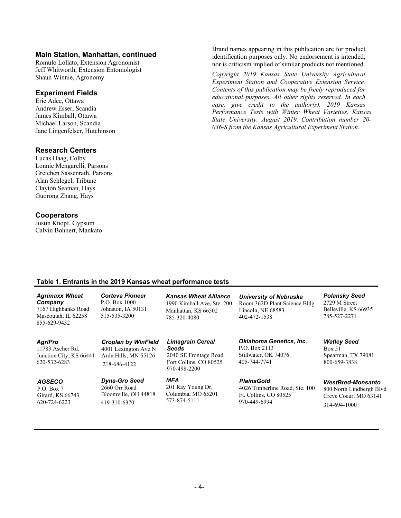#### **Main Station, Manhattan, continued**

Romulo Lollato, Extension Agronomist Jeff Whitworth, Extension Entomologist Shaun Winnie, Agronomy

### **Experiment Fields**

Eric Adee, Ottawa Andrew Esser, Scandia James Kimball, Ottawa Michael Larson, Scandia Jane Lingenfelser, Hutchinson

#### **Research Centers**

Lucas Haag, Colby Lonnie Mengarelli, Parsons Gretchen Sassenrath, Parsons Alan Schlegel, Tribune Clayton Seaman, Hays Guorong Zhang, Hays

## **Cooperators**

Justin Knopf, Gypsum Calvin Bohnert, Mankato

Brand names appearing in this publication are for product identification purposes only. No endorsement is intended, nor is criticism implied of similar products not mentioned.

*Copyright 2019 Kansas State University Agricultural Experiment Station and Cooperative Extension Service. Contents of this publication may be freely reproduced for educational purposes. All other rights reserved. In each case, give credit to the author(s), 2019 Kansas Performance Tests with Winter Wheat Varieties, Kansas State University, August 2019. Contribution number 20- 036-S from the Kansas Agricultural Experiment Station.* 

#### **Table 1. Entrants in the 2019 Kansas wheat performance tests**

| <b>Agrimaxx Wheat</b><br>Company<br>7167 Highbanks Road<br>Mascoutah, IL 62258<br>855-629-9432 | Corteva Pioneer<br>P.O. Box 1000<br>Johnston, IA 50131<br>515-535-3200                     | <b>Kansas Wheat Alliance</b><br>1990 Kimball Ave, Ste. 200<br>Manhattan, KS 66502<br>785-320-4080          | University of Nebraska<br>Room 362D Plant Science Bldg<br>Lincoln, NE 68583<br>402-472-1538  | <b>Polansky Seed</b><br>2729 M Street<br>Belleville, KS 66935<br>785-527-2271                 |
|------------------------------------------------------------------------------------------------|--------------------------------------------------------------------------------------------|------------------------------------------------------------------------------------------------------------|----------------------------------------------------------------------------------------------|-----------------------------------------------------------------------------------------------|
| <b>AgriPro</b><br>11783 Ascher Rd.<br>Junction City, KS 66441<br>620-532-6283                  | <b>Croplan by WinField</b><br>4001 Lexington Ave N<br>Ardn Hills, MN 55126<br>218-686-4122 | <b>Limagrain Cereal</b><br><b>Seeds</b><br>2040 SE Frontage Road<br>Fort Collins, CO 80525<br>970-498-2200 | <b>Oklahoma Genetics, Inc.</b><br>P.O. Box 2113<br>Stillwater, OK 74076<br>405-744-7741      | <b>Watley Seed</b><br>Box 51<br>Spearman, TX 79081<br>800-659-3838                            |
| <b>AGSECO</b><br>P.O. Box 7<br>Girard, KS 66743<br>620-724-6223                                | <b>Dyna-Gro Seed</b><br>2660 Orr Road<br>Bloomville, OH 44818<br>419-310-6370              | <b>MFA</b><br>201 Ray Young Dr.<br>Columbia, MO 65201<br>573-874-5111                                      | <b>PlainsGold</b><br>4026 Timberline Road, Ste. 100<br>Ft. Collins, CO 80525<br>970-449-6994 | <b>WestBred-Monsanto</b><br>800 North Lindbergh Blyd<br>Creve Coeur, MO 63141<br>314-694-1000 |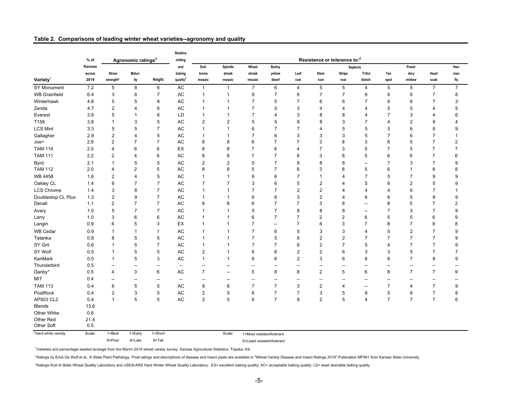#### **Table 2. Comparisons of leading winter wheat varieties--agronomy and quality**

|                      |        |                         |                                |                | Relative                 |                          |                         |                            |                          |                          |                                          |                          |                          |                          |                          |                |                         |
|----------------------|--------|-------------------------|--------------------------------|----------------|--------------------------|--------------------------|-------------------------|----------------------------|--------------------------|--------------------------|------------------------------------------|--------------------------|--------------------------|--------------------------|--------------------------|----------------|-------------------------|
|                      | % of   |                         | Agronomic ratings <sup>2</sup> |                | milling                  |                          |                         |                            |                          |                          | Resistance or tolerance to: <sup>2</sup> |                          |                          |                          |                          |                |                         |
|                      | Kansas |                         |                                |                | and                      | Soil-                    | Spindle                 | Wheat                      | Barley                   |                          |                                          |                          | Septoria                 |                          | Powd-                    |                | Hes-                    |
|                      | acres  | Straw                   | Matur-                         |                | baking                   | borne                    | streak                  | streak                     | yellow                   | Leaf                     | Stem                                     | <b>Stripe</b>            | Tritici                  | Tan                      | dery                     | Head           | sian                    |
| Variety <sup>1</sup> | 2019   | strength <sup>2</sup>   | ity                            | Height         | quality <sup>3</sup>     | mosaic                   | mosaic                  | mosaic                     | dwarf                    | rust                     | rust                                     | rust                     | blotch                   | spot                     | mildew                   | scab           | fly                     |
| <b>SY Monument</b>   | 7.2    | 5                       | 8                              | 6              | AC                       | $\mathbf{1}$             | $\mathbf{1}$            | $\overline{7}$             | 6                        | 4                        | 5                                        | 5                        | 4                        | 5                        | 5                        | $\overline{7}$ | $\overline{7}$          |
| <b>WB Grainfield</b> | 6.4    | 3                       | 6                              | $\overline{7}$ | AC                       | -1                       | $\mathbf{1}$            | 8                          | $\overline{7}$           | 6                        | $\overline{7}$                           | 7                        | 6                        | 6                        | 6                        | 7              | 8                       |
| Winterhawk           | 4.8    | 5                       | 5                              | 8              | AC                       |                          | $\mathbf 1$             | $\overline{7}$             | 5                        | $\overline{7}$           | 6                                        | 6                        | 7                        | 6                        | 6                        | $\overline{7}$ | 3                       |
| Zenda                | 4.7    | 2                       | $\overline{4}$                 | 6              | AC                       | -1                       | $\overline{\mathbf{1}}$ | $\overline{7}$             | 5                        | 3                        | 4                                        | 4                        | 4                        | 5                        | 5                        | 4              | 5                       |
| Everest              | 3.8    | 5                       | $\overline{1}$                 | 6              | LD                       | $\overline{1}$           | $\overline{1}$          | $\overline{7}$             | 4                        | 3                        | 8                                        | 8                        | 4                        | $\overline{7}$           | 3                        | 4              | 6                       |
| T158                 | 3.8    | $\mathbf{1}$            | 3                              | 5              | <b>AC</b>                | $\overline{2}$           | $\overline{2}$          | 5                          | 5                        | 8                        | 8                                        | 3                        | $\overline{7}$           | $\overline{4}$           | $\overline{2}$           | 8              | 4                       |
| <b>LCS Mint</b>      | 3.3    | 5                       | 5                              | $\overline{7}$ | <b>AC</b>                | $\overline{\mathbf{1}}$  | $\mathbf{1}$            | 6                          | $\overline{7}$           | $\overline{7}$           | $\overline{4}$                           | 5                        | 5                        | 5                        | 6                        | 8              | 9                       |
| Gallagher            | 2.9    | $\overline{\mathbf{c}}$ | $\overline{4}$                 | 5              | AC                       | $\mathbf{1}$             | $\overline{1}$          | $\overline{7}$             | 6                        | 3                        | 3                                        | 3                        | 5                        | $\overline{7}$           | 6                        | 7              | 1                       |
| Joe+                 | 2.6    | $\overline{2}$          | $\overline{7}$                 | $\overline{7}$ | AC                       | 8                        | 8                       | 6                          | $\overline{7}$           | $\overline{7}$           | 3                                        | 8                        | 3                        | 8                        | 5                        | $\overline{7}$ | $\overline{\mathbf{c}}$ |
| <b>TAM 114</b>       | 2.5    | 4                       | 6                              | 6              | EX                       | 8                        | 8                       | $\overline{7}$             | 6                        | $\overline{4}$           | $\overline{7}$                           | 3                        | 5                        | $\overline{7}$           | 5                        | $\overline{7}$ | $\overline{7}$          |
| <b>TAM 111</b>       | 2.2    | 2                       | $\overline{4}$                 | 6              | <b>AC</b>                | 8                        | 8                       | $\overline{7}$             | $\overline{7}$           | 8                        | 3                                        | 8                        | 5                        | 6                        | 6                        | $\overline{7}$ | 6                       |
| <b>Byrd</b>          | 2.1    | $\mathbf 1$             | 5                              | 5              | AC                       | $\overline{2}$           | $\overline{2}$          | 5                          | $\overline{7}$           | 8                        | 8                                        | 8                        | --                       | $\overline{7}$           | 3                        | $\overline{7}$ | 9                       |
| <b>TAM 112</b>       | 2.0    | $\overline{4}$          | $\overline{2}$                 | 5              | AC                       | 8                        | 8                       | 5                          | $\overline{7}$           | 8                        | 3                                        | 8                        | 5                        | 6                        | $\overline{1}$           | 8              | 8                       |
| <b>WB 4458</b>       | 1.6    | 2                       | $\overline{4}$                 | 5              | AC                       | $\mathbf{1}$             | $\overline{1}$          | 6                          | 6                        | $\overline{7}$           | $\mathbf{1}$                             | 4                        | $\overline{7}$           | 5                        | $\overline{7}$           | 9              | 9                       |
| Oakley CL            | 1.4    | 6                       | $\overline{7}$                 | $\overline{7}$ | <b>AC</b>                | $\overline{7}$           | $\overline{7}$          | 3                          | 6                        | 5                        | $\overline{2}$                           | 4                        | 5                        | 6                        | $\overline{2}$           | 5              | 9                       |
| <b>LCS Chrome</b>    | 1.4    | 3                       | 8                              | $\overline{7}$ | AC                       | $\mathbf{1}$             | $\mathbf{1}$            | $\overline{7}$             | $\overline{7}$           | $\overline{2}$           | $\overline{2}$                           | 4                        | 4                        | 4                        | 6                        | $\overline{7}$ | 1                       |
| Doublestop CL Plus   | 1.3    | $\overline{2}$          | 9                              | $\overline{7}$ | <b>AC</b>                | $\mathbf{1}$             | $\overline{1}$          | 6                          | 6                        | 3                        | $\overline{2}$                           | 4                        | 6                        | 6                        | 5                        | 8              | 9                       |
| Denali               | 1.1    | $\overline{\mathbf{c}}$ | $\overline{7}$                 | $\overline{7}$ | AC                       | 8                        | 8                       | 6                          | $\overline{7}$           | $\overline{7}$           | 3                                        | 8                        | --                       | 8                        | 5                        | $\overline{7}$ | $\overline{\mathbf{c}}$ |
| Avery                | 1.0    | 5                       | $\overline{7}$                 | $\overline{7}$ | AC                       |                          | $\mathbf 1$             | 5                          | $\overline{7}$           | 8                        | 8                                        | 8                        | $\overline{a}$           | 7                        | 3                        | $\overline{7}$ | 9                       |
| Larry                | 1.0    | 3                       | 6                              | 6              | AC                       | -1                       | $\mathbf{1}$            | 6                          | $\overline{7}$           | $\overline{7}$           | $\overline{c}$                           | 2                        | 6                        | 5                        | 5                        | 6              | 9                       |
| Langin               | 0.9    | 6                       | 5                              | 3              | EX                       | -1                       | $\mathbf 1$             | 7                          | $\overline{\phantom{a}}$ | $\overline{7}$           | 8                                        | 3                        | 7                        | 8                        | $\overline{7}$           | 8              | 8                       |
| <b>WB Cedar</b>      | 0.9    | -1                      | 1                              | $\mathbf{1}$   | <b>AC</b>                | -1                       | $\overline{\mathbf{1}}$ | $\overline{7}$             | 6                        | 5                        | 3                                        | 3                        | 4                        | 5                        | $\overline{2}$           | 7              | 9                       |
| Tatanka              | 0.8    | 6                       | 5                              | 5              | <b>AC</b>                | $\overline{1}$           | $\overline{1}$          | $\overline{7}$             | 5                        | 6                        | $\overline{2}$                           | 2                        | $\overline{7}$           | 7                        | $\overline{7}$           | $\overline{7}$ | 9                       |
| SY Grit              | 0.6    | 1                       | 5                              | $\overline{7}$ | AC                       | $\overline{\mathbf{1}}$  | $\overline{1}$          | $\overline{7}$             | $\overline{7}$           | 6                        | $\overline{2}$                           | $\overline{7}$           | 5                        | $\overline{4}$           | $\overline{7}$           | $\overline{7}$ | 9                       |
| SY Wolf              | 0.5    | 1                       | 5                              | 5              | AC                       | $\overline{2}$           | $\overline{1}$          | 6                          | 6                        | $\overline{2}$           | $\overline{2}$                           | 6                        | 3                        | 3                        | 5                        | $\overline{7}$ | $\overline{7}$          |
| KanMark              | 0.5    | 1                       | 5                              | 3              | <b>AC</b>                | $\mathbf{1}$             | $\mathbf{1}$            | 6                          | 6                        | $\overline{2}$           | $\mathbf{3}$                             | 6                        | 6                        | 6                        | $\overline{7}$           | 8              | 9                       |
| Thunderbird          | 0.5    | $-$                     | $\overline{\phantom{a}}$       | $\overline{a}$ | $\overline{\phantom{a}}$ | $\overline{\phantom{a}}$ | --                      | --                         | --                       | $\overline{\phantom{a}}$ | --                                       | $\overline{\phantom{a}}$ | $\overline{\phantom{a}}$ | --                       | $\overline{\phantom{a}}$ | --             | $-$                     |
| Danby*               | 0.5    | 4                       | 3                              | 6              | AC                       | $\overline{7}$           | --                      | 5                          | 8                        | 8                        | $\overline{2}$                           | 5                        | 6                        | 8                        | $\overline{7}$           | $\overline{7}$ | 9                       |
| MIT                  | 0.4    | --                      | $\overline{\phantom{a}}$       | $\overline{a}$ | $\overline{\phantom{a}}$ | $\overline{\phantom{a}}$ | --                      | $\overline{\phantom{a}}$   | --                       | $\overline{\phantom{a}}$ | --                                       | $\overline{\phantom{a}}$ | --                       | $\overline{\phantom{a}}$ | $\overline{\phantom{a}}$ | --             | $-$                     |
| <b>TAM 113</b>       | 0.4    | 6                       | 5                              | 5              | AC                       | 8                        | 8                       | $\overline{7}$             | $\overline{7}$           | 3                        | $\overline{2}$                           | 4                        | $\overline{\phantom{a}}$ | $\overline{7}$           | $\overline{4}$           | $\overline{7}$ | 9                       |
| PostRock             | 0.4    | $\overline{2}$          | 3                              | 5              | <b>AC</b>                | 2                        | 5                       | 6                          | $\overline{7}$           | $\overline{7}$           | 3                                        | 5                        | 8                        | 5                        | 8                        | $\overline{7}$ | 8                       |
| AP503 CL2            | 0.4    | 1                       | $\sqrt{5}$                     | 5              | <b>AC</b>                | $\overline{2}$           | $\overline{5}$          | $\,6\,$                    | $\overline{7}$           | 8                        | $\overline{2}$                           | 5                        | $\overline{4}$           | $\overline{7}$           | $\overline{7}$           | $\overline{7}$ | 6                       |
| <b>Blends</b>        | 13.6   |                         |                                |                |                          |                          |                         |                            |                          |                          |                                          |                          |                          |                          |                          |                |                         |
| Other White          | 0.6    |                         |                                |                |                          |                          |                         |                            |                          |                          |                                          |                          |                          |                          |                          |                |                         |
| Other Red            | 21.4   |                         |                                |                |                          |                          |                         |                            |                          |                          |                                          |                          |                          |                          |                          |                |                         |
| Other Soft           | 0.5    |                         |                                |                |                          |                          |                         |                            |                          |                          |                                          |                          |                          |                          |                          |                |                         |
| *Hard white variety  | Scale: | $1 = Best$              | 1=Early                        | 1=Short        |                          |                          | Scale:                  | 1=Most resistant/tolerant  |                          |                          |                                          |                          |                          |                          |                          |                |                         |
|                      |        | 9=Poor                  | 9=Late                         | 9=Tall         |                          |                          |                         | 9=Least resistant/tolerant |                          |                          |                                          |                          |                          |                          |                          |                |                         |

<sup>1</sup>Varieties and percentage seeded acreage from the March 2019 wheat variety survey, Kansas Agricultural Statistics, Topeka, KS.

<sup>2</sup>Ratings by Erick De Wolf et al., K-State Plant Pathology. Final ratings and descriptions of disease and insect pests are available in "Wheat Variety Disease and Insect Ratings 2019" Publication MF991 from Kansas State U

<sup>3</sup> Ratings from K-State Wheat Quality Laboratory and USDA-ARS Hard Winter Wheat Quality Laboratory. EX= excellent baking quality; AC= acceptable baking quality; LD= least desirable baking quality.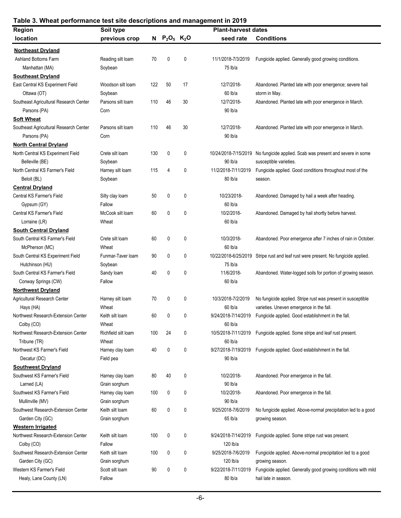## **Table 3. Wheat performance test site descriptions and management in 2019**

| Region                                                  | Soil type           |     |                           |    | <b>Plant-harvest dates</b> |                                                                                    |
|---------------------------------------------------------|---------------------|-----|---------------------------|----|----------------------------|------------------------------------------------------------------------------------|
| location                                                | previous crop       | N   | $P_2O_5$ K <sub>2</sub> O |    | seed rate                  | <b>Conditions</b>                                                                  |
|                                                         |                     |     |                           |    |                            |                                                                                    |
| <b>Northeast Drvland</b><br><b>Ashland Bottoms Farm</b> |                     |     |                           |    |                            |                                                                                    |
|                                                         | Reading silt loam   | 70  | 0                         | 0  | 11/1/2018-7/3/2019         | Fungicide applied. Generally good growing conditions.                              |
| Manhattan (MA)                                          | Soybean             |     |                           |    | $75$ lb/a                  |                                                                                    |
| <b>Southeast Dryland</b>                                |                     |     |                           |    |                            |                                                                                    |
| East Central KS Experiment Field                        | Woodson silt loam   | 122 | 50                        | 17 | 12/7/2018-                 | Abandoned. Planted late with poor emergence; severe hail                           |
| Ottawa (OT)                                             | Soybean             |     |                           |    | $60$ lb/a                  | storm in May.                                                                      |
| Southeast Agricultural Research Center                  | Parsons silt loam   | 110 | 46                        | 30 | 12/7/2018-                 | Abandoned. Planted late with poor emergence in March.                              |
| Parsons (PA)                                            | Corn                |     |                           |    | 90 lb/a                    |                                                                                    |
| <b>Soft Wheat</b>                                       |                     |     |                           |    |                            |                                                                                    |
| Southeast Agricultural Research Center                  | Parsons silt loam   | 110 | 46                        | 30 | 12/7/2018-                 | Abandoned. Planted late with poor emergence in March.                              |
| Parsons (PA)                                            | Corn                |     |                           |    | 90 lb/a                    |                                                                                    |
| <b>North Central Dryland</b>                            |                     |     |                           |    |                            |                                                                                    |
| North Central KS Experiment Field                       | Crete silt loam     | 130 | 0                         | 0  |                            | 10/24/2018-7/15/2019 No fungicide applied. Scab was present and severe in some     |
| Belleville (BE)                                         | Soybean             |     |                           |    | 90 lb/a                    | susceptible varieties.                                                             |
| North Central KS Farmer's Field                         | Harney silt loam    | 115 | 4                         | 0  | 11/2/2018-7/11/2019        | Fungicide applied. Good conditions throughout most of the                          |
| Beloit (BL)                                             | Soybean             |     |                           |    | 80 lb/a                    | season.                                                                            |
| <b>Central Dryland</b>                                  |                     |     |                           |    |                            |                                                                                    |
| Central KS Farmer's Field                               | Silty clay loam     | 50  | 0                         | 0  | 10/23/2018-                | Abandoned. Damaged by hail a week after heading.                                   |
| Gypsum (GY)                                             | Fallow              |     |                           |    | 60 lb/a                    |                                                                                    |
| Central KS Farmer's Field                               | McCook silt loam    | 60  | $\mathbf 0$               | 0  | 10/2/2018-                 | Abandoned. Damaged by hail shortly before harvest.                                 |
| Lorraine (LR)                                           | Wheat               |     |                           |    | 60 lb/a                    |                                                                                    |
| <b>South Central Dryland</b>                            |                     |     |                           |    |                            |                                                                                    |
| South Central KS Farmer's Field                         | Crete silt loam     | 60  | $\mathbf 0$               | 0  | 10/3/2018-                 | Abandoned. Poor emergence after 7 inches of rain in October.                       |
| McPherson (MC)                                          | Wheat               |     |                           |    | $60$ lb/a                  |                                                                                    |
| South Central KS Experiment Field                       | Funmar-Taver loam   | 90  | 0                         | 0  |                            | 10/22/2018-6/25/2019 Stripe rust and leaf rust were present. No fungicide applied. |
| Hutchinson (HU)                                         | Soybean             |     |                           |    | 75 lb/a                    |                                                                                    |
| South Central KS Farmer's Field                         | Sandy loam          | 40  | 0                         | 0  | 11/6/2018-                 | Abandoned. Water-logged soils for portion of growing season.                       |
| Conway Springs (CW)                                     | Fallow              |     |                           |    | 60 lb/a                    |                                                                                    |
| <b>Northwest Dryland</b>                                |                     |     |                           |    |                            |                                                                                    |
| Agricultural Research Center                            | Harney silt loam    | 70  | 0                         | 0  | 10/3/2018-7/2/2019         | No fungicide applied. Stripe rust was present in susceptible                       |
| Hays (HA)                                               | Wheat               |     |                           |    | $60$ lb/a                  | varieties. Uneven emergence in the fall.                                           |
| Northwest Research-Extension Center                     | Keith silt loam     | 60  | 0                         | 0  | 9/24/2018-7/14/2019        | Fungicide applied. Good establishment in the fall.                                 |
| Colby (CO)                                              | Wheat               |     |                           |    | 60 lb/a                    |                                                                                    |
| Northwest Research-Extension Center                     | Richfield silt loam | 100 | 24                        | 0  | 10/5/2018-7/11/2019        | Fungicide applied. Some stripe and leaf rust present.                              |
| Tribune (TR)                                            | Wheat               |     |                           |    | 60 lb/a                    |                                                                                    |
| Northwest KS Farmer's Field                             | Harney clay loam    | 40  | 0                         | 0  | 9/27/2018-7/19/2019        | Fungicide applied. Good establishment in the fall.                                 |
| Decatur (DC)                                            | Field pea           |     |                           |    | 90 lb/a                    |                                                                                    |
| <b>Southwest Dryland</b>                                |                     |     |                           |    |                            |                                                                                    |
| Southwest KS Farmer's Field                             | Harney clay loam    | 80  | 40                        | 0  | 10/2/2018-                 | Abandoned. Poor emergence in the fall.                                             |
| Larned (LA)                                             | Grain sorghum       |     |                           |    | 90 lb/a                    |                                                                                    |
| Southwest KS Farmer's Field                             | Harney clay loam    | 100 | 0                         | 0  | 10/2/2018-                 | Abandoned. Poor emergence in the fall.                                             |
| Mullinville (MV)                                        | Grain sorghum       |     |                           |    | 90 lb/a                    |                                                                                    |
| Southwest Research-Extension Center                     | Keith silt loam     | 60  | 0                         | 0  | 9/25/2018-7/6/2019         | No fungicide applied. Above-normal precipitation led to a good                     |
| Garden City (GC)                                        | Grain sorghum       |     |                           |    | 65 lb/a                    | growing season.                                                                    |
| Western Irrigated                                       |                     |     |                           |    |                            |                                                                                    |
| Northwest Research-Extension Center                     | Keith silt loam     | 100 | 0                         | 0  | 9/24/2018-7/14/2019        | Fungicide applied. Some stripe rust was present.                                   |
| Colby (CO)                                              | Fallow              |     |                           |    | 120 lb/a                   |                                                                                    |
| Southwest Research-Extension Center                     | Keith silt loam     | 100 | 0                         | 0  | 9/25/2018-7/6/2019         | Fungicide applied. Above-normal precipitation led to a good                        |
| Garden City (GC)                                        | Grain sorghum       |     |                           |    | 120 lb/a                   | growing season.                                                                    |
| Western KS Farmer's Field                               | Scott silt loam     | 90  | 0                         | 0  | 9/22/2018-7/11/2019        | Fungicide applied. Generally good growing conditions with mild                     |
| Healy, Lane County (LN)                                 | Fallow              |     |                           |    | 80 lb/a                    | hail late in season.                                                               |
|                                                         |                     |     |                           |    |                            |                                                                                    |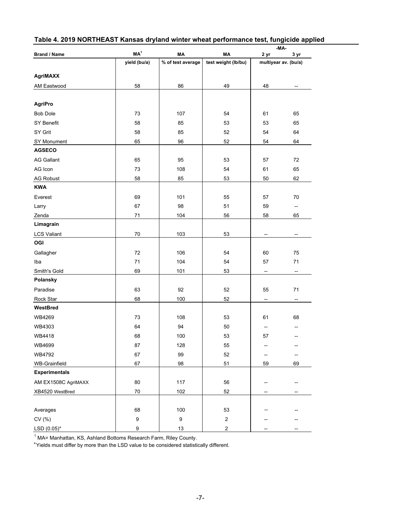| <b>Brand / Name</b>  | MA <sup>1</sup>  | MA                | МA                  | 2 yr                     | -MIA-<br>$3 \text{ yr}$  |
|----------------------|------------------|-------------------|---------------------|--------------------------|--------------------------|
|                      | yield (bu/a)     | % of test average | test weight (lb/bu) |                          | multiyear av. (bu/a)     |
| <b>AgriMAXX</b>      |                  |                   |                     |                          |                          |
| AM Eastwood          | 58               | 86                | 49                  | 48                       | --                       |
|                      |                  |                   |                     |                          |                          |
| <b>AgriPro</b>       |                  |                   |                     |                          |                          |
| <b>Bob Dole</b>      | 73               | 107               | 54                  | 61                       | 65                       |
| <b>SY Benefit</b>    | 58               | 85                | 53                  | 53                       | 65                       |
| SY Grit              | 58               | 85                | 52                  | 54                       | 64                       |
| SY Monument          | 65               | 96                | 52                  | 54                       | 64                       |
| <b>AGSECO</b>        |                  |                   |                     |                          |                          |
| <b>AG Gallant</b>    | 65               | 95                | 53                  | 57                       | 72                       |
| AG Icon              | 73               | 108               | 54                  | 61                       | 65                       |
| <b>AG Robust</b>     | 58               | 85                | 53                  | 50                       | 62                       |
| <b>KWA</b>           |                  |                   |                     |                          |                          |
| Everest              | 69               | 101               | 55                  | 57                       | 70                       |
| Larry                | 67               | 98                | 51                  | 59                       | --                       |
| Zenda                | 71               | 104               | 56                  | 58                       | 65                       |
| Limagrain            |                  |                   |                     |                          |                          |
| <b>LCS Valiant</b>   | 70               | 103               | 53                  | --                       | --                       |
| OGI                  |                  |                   |                     |                          |                          |
| Gallagher            | 72               | 106               | 54                  | 60                       | 75                       |
| Iba                  | 71               | 104               | 54                  | 57                       | 71                       |
| Smith's Gold         | 69               | 101               | 53                  | --                       | --                       |
| Polansky             |                  |                   |                     |                          |                          |
| Paradise             | 63               | 92                | 52                  | 55                       | 71                       |
| Rock Star            | 68               | 100               | 52                  | --                       | $\qquad \qquad -$        |
| WestBred             |                  |                   |                     |                          |                          |
| WB4269               | 73               | 108               | 53                  | 61                       | 68                       |
| WB4303               | 64               | 94                | 50                  | --                       | --                       |
| WB4418               | 68               | 100               | 53                  | 57                       | --                       |
| WB4699               | 87               | 128               | 55                  |                          |                          |
| WB4792               | 67               | 99                | 52                  | --                       | --                       |
| <b>WB-Grainfield</b> | 67               | 98                | 51                  | 59                       | 69                       |
| <b>Experimentals</b> |                  |                   |                     |                          |                          |
| AM EX1508C AgriMAXX  | 80               | 117               | 56                  |                          |                          |
| XB4520 WestBred      | 70               | 102               | 52                  | $\overline{\phantom{a}}$ | $\overline{\phantom{a}}$ |
|                      |                  |                   |                     |                          |                          |
| Averages             | 68               | 100               | 53                  |                          |                          |
| CV (%)               | $\boldsymbol{9}$ | $\boldsymbol{9}$  | $\overline{c}$      |                          |                          |
| $LSD (0.05)^*$       | 9                | 13                | 2                   | --                       | $-$                      |

#### **Table 4. 2019 NORTHEAST Kansas dryland winter wheat performance test, fungicide applied -MA-**

 $1$  MA= Manhattan, KS, Ashland Bottoms Research Farm, Riley County.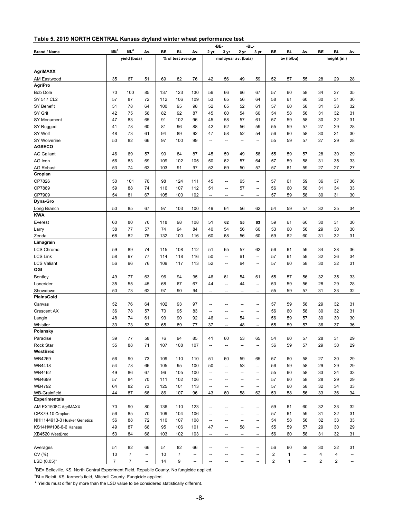|                             |                 |                 |                          |            |                   |                          |      | -BE-                     |                          | -BL-                     |                |            |          |          |              |     |
|-----------------------------|-----------------|-----------------|--------------------------|------------|-------------------|--------------------------|------|--------------------------|--------------------------|--------------------------|----------------|------------|----------|----------|--------------|-----|
| <b>Brand / Name</b>         | BE <sup>1</sup> | BL <sup>2</sup> | Av.                      | BE         | BL                | Av.                      | 2 yr | 3 yr                     | 2 yr                     | 3 yr                     | BE             | BL         | Av.      | BE       | BL           | Av. |
|                             |                 | yield (bu/a)    |                          |            | % of test average |                          |      |                          | multiyear av. (bu/a)     |                          |                | tw (lb/bu) |          |          | height (in.) |     |
|                             |                 |                 |                          |            |                   |                          |      |                          |                          |                          |                |            |          |          |              |     |
| AgriMAXX                    |                 |                 |                          |            |                   |                          |      |                          |                          |                          |                |            |          |          |              |     |
| AM Eastwood                 | 35              | 67              | 51                       | 69         | 82                | 76                       | 42   | 56                       | 49                       | 59                       | 52             | 57         | 55       | 28       | 29           | 28  |
| <b>AgriPro</b>              |                 |                 |                          |            |                   |                          |      |                          |                          |                          |                |            |          |          |              |     |
| <b>Bob Dole</b>             | 70              | 100             | 85                       | 137        | 123               | 130                      | 56   | 66                       | 66                       | 67                       | 57             | 60         | 58       | 34       | 37           | 35  |
| SY 517 CL2                  | 57              | 87              | 72                       | 112        | 106               | 109                      | 53   | 65                       | 56                       | 64                       | 58             | 61         | 60       | 30       | 31           | 30  |
| <b>SY Benefit</b>           | 51              | 78              | 64                       | 100        | 95                | 98                       | 52   | 65                       | 52                       | 61                       | 57             | 60         | 58       | 31       | 33           | 32  |
| SY Grit                     | 42              | 75              | 58                       | 82         | 92                | 87                       | 45   | 60                       | 54                       | 60                       | 54             | 58         | 56       | 31       | 32           | 31  |
| SY Monument                 | 47              | 83              | 65                       | 91         | 102               | 96                       | 45   | 58                       | 57                       | 61                       | 57             | 59         | 58       | 30       | 32           | 31  |
| SY Rugged                   | 41              | 78              | 60                       | 81         | 96                | 88                       | 42   | 52                       | 56                       | 59                       | 55             | 59         | 57       | 27       | 29           | 28  |
| SY Wolf                     | 48              | 73              | 61                       | 94         | 89                | 92                       | 47   | 58                       | 52                       | 54                       | 56             | 60         | 58       | 30       | 31           | 30  |
| <b>SY Wolverine</b>         | 50              | 82              | 66                       | 97         | 100               | 99                       | --   | --                       | $\overline{\phantom{a}}$ | $\overline{\phantom{a}}$ | 55             | 59         | 57       | 27       | 29           | 28  |
| <b>AGSECO</b>               |                 |                 |                          |            |                   |                          |      |                          |                          |                          |                |            |          |          |              |     |
| <b>AG Gallant</b>           | 46              | 69              | 57                       | 90         | 84                | 87                       | 45   | 59                       | 49                       | 58                       | 55             | 59         | 57       | 28       | 30           | 29  |
| AG Icon                     | 56              | 83              | 69                       | 109        | 102               | 105                      | 50   | 62                       | 57                       | 64                       | 57             | 59         | 58       | 31       | 35           | 33  |
| <b>AG Robust</b>            | 53              | 74              | 63                       | 103        | 91                | 97                       | 52   | 69                       | 50                       | 57                       | 57             | 61         | 59       | 27       | 27           | 27  |
| Croplan                     |                 |                 |                          |            |                   |                          |      |                          |                          |                          |                |            |          |          |              |     |
| CP7826                      | 50              | 101             | 76                       | 98         | 124               | 111                      | 45   | --                       | 65                       | --                       | 57             | 61         | 59       | 36       | 37           | 36  |
| CP7869                      | 59              | 88              | 74                       | 116        | 107               | 112                      | 51   | --                       | 57                       | --                       | 56             | 60         | 58       | 31       | 34           | 33  |
| CP7909                      | 54              | 81              | 67                       | 105        | 100               | 102                      | --   | $\overline{\phantom{a}}$ | --                       | $\overline{\phantom{a}}$ | 57             | 59         | 58       | 30       | 31           | 30  |
| Dyna-Gro                    |                 |                 |                          |            |                   |                          |      |                          |                          |                          |                |            |          |          |              |     |
| Long Branch                 | 50              | 85              | 67                       | 97         | 103               | 100                      | 49   | 64                       | 56                       | 62                       | 54             | 59         | 57       | 32       | 35           | 34  |
| <b>KWA</b>                  |                 |                 |                          |            |                   |                          |      |                          |                          |                          |                |            |          |          |              |     |
| Everest                     | 60              | 80              | 70                       | 118        |                   | 108                      | 51   | 62                       |                          |                          | 59             | 61         | 60       | 30       | 31           |     |
|                             |                 |                 |                          |            | 98                |                          | 40   | 54                       | 55                       | 63                       |                |            |          | 29       |              | 30  |
| Larry                       | 38              | 77              | 57                       | 74         | 94                | 84                       |      |                          | 56                       | 60                       | 53             | 60         | 56       |          | 30           | 30  |
| Zenda                       | 68              | 82              | 75                       | 132        | 100               | 116                      | 60   | 68                       | 56                       | 60                       | 59             | 62         | 60       | 31       | 32           | 31  |
| Limagrain                   |                 |                 |                          |            |                   |                          |      |                          |                          |                          |                |            |          |          |              |     |
| <b>LCS Chrome</b>           | 59              | 89              | 74                       | 115        | 108               | 112                      | 51   | 65                       | 57                       | 62                       | 56             | 61         | 59       | 34       | 38           | 36  |
| <b>LCS Link</b>             | 58              | 97              | 77                       | 114        | 118               | 116                      | 50   | $\overline{\phantom{a}}$ | 61                       | $\overline{\phantom{a}}$ | 57             | 61         | 59       | 32       | 36           | 34  |
| <b>LCS Valiant</b>          | 56              | 96              | 76                       | 109        | 117               | 113                      | 52   | $\overline{\phantom{a}}$ | 64                       | $\overline{\phantom{a}}$ | 57             | 60         | 58       | 30       | 32           | 31  |
| OGI                         |                 |                 |                          |            |                   |                          |      |                          |                          |                          |                |            |          |          |              |     |
| <b>Bentley</b>              | 49              | 77              | 63                       | 96         | 94                | 95                       | 46   | 61                       | 54                       | 61                       | 55             | 57         | 56       | 32       | 35           | 33  |
| Lonerider                   | 35              | 55              | 45                       | 68         | 67                | 67                       | 44   | $\overline{\phantom{a}}$ | 44                       | $\overline{\phantom{a}}$ | 53             | 59         | 56       | 28       | 29           | 28  |
| Showdown                    | 50              | 73              | 62                       | 97         | 90                | 94                       | --   | $\overline{\phantom{a}}$ | $\overline{\phantom{a}}$ | $\overline{\phantom{a}}$ | 55             | 59         | 57       | 31       | 33           | 32  |
| <b>PlainsGold</b>           |                 |                 |                          |            |                   |                          |      |                          |                          |                          |                |            |          |          |              |     |
| Canvas                      | 52              | 76              | 64                       | 102        | 93                | 97                       | --   | --                       | --                       | --                       | 57             | 59         | 58       | 29       | 32           | 31  |
| <b>Crescent AX</b>          | 36              | 78              | 57                       | 70         | 95                | 83                       | --   | $\overline{\phantom{a}}$ | $\overline{\phantom{a}}$ | --                       | 56             | 60         | 58       | 30       | 32           | 31  |
| Langin                      | 48              | 74              | 61                       | 93         | 90                | 92                       | 46   | $\overline{\phantom{a}}$ | 54                       | $\overline{\phantom{a}}$ | 56             | 59         | 57       | 30       | 30           | 30  |
| Whistler                    | 33              | 73              | 53                       | 65         | 89                | 77                       | 37   | $\overline{\phantom{a}}$ | 48                       | $\overline{\phantom{a}}$ | 55             | 59         | 57       | 36       | 37           | 36  |
| Polansky                    |                 |                 |                          |            |                   |                          |      |                          |                          |                          |                |            |          |          |              |     |
| Paradise                    | 39              | 77              | 58                       | 76         | 94                | 85                       | 41   | 60                       | 53                       | 65                       | 54             | 60         | 57       | 28       | 31           | 29  |
| Rock Star                   | 55              | 88              | 71                       | 107        | 108               | 107                      | --   | --                       | --                       | --                       | 56             | 59         | 57       | 29       | 30           | 29  |
| WestBred                    |                 |                 |                          |            |                   |                          |      |                          |                          |                          |                |            |          |          |              |     |
| WB4269                      | 56              | 90              | 73                       | 109        | 110               | 110                      | 51   | 60                       | 59                       | 65                       | 57             | 60         | 58       | 27       | 30           | 29  |
| WB4418                      | 54              | 78              | 66                       | 105        | 95                | 100                      | 50   | --                       | 53                       | --                       | 56             | 59         | 58       | 29       | 29           | 29  |
| WB4462                      | 49              | 86              | 67                       | 96         | 105               | 100                      | --   | --                       | --                       | --                       | 55             | 60         | 58       | 33       | 34           | 33  |
| WB4699                      | 57              | 84              | 70                       | 111        | 102               | 106                      | --   | --                       | --                       | --                       | 57             | 60         | 58       | 28       | 29           | 29  |
| WB4792                      | 64              | 82              | 73                       | 125        | 101               | 113                      | --   | --                       | --                       | --                       | 57             | 60         | 58       | 32       | 34           | 33  |
| <b>WB-Grainfield</b>        | 44              | 87              | 66                       | 86         | 107               | 96                       | 43   | 60                       | 58                       | 62                       | 53             | 58         | 56       | 33       | 36           | 34  |
| <b>Experimentals</b>        |                 |                 |                          |            |                   |                          |      |                          |                          |                          |                |            |          |          |              |     |
|                             |                 |                 |                          |            |                   |                          |      |                          |                          |                          |                |            |          |          |              |     |
| AM EX1508C AgriMAXX         | 70<br>56        | 90<br>85        | 80<br>70                 | 136<br>109 | 110<br>104        | 123<br>106               |      |                          |                          | --                       | 59<br>57       | 61<br>61   | 60<br>59 | 32<br>31 | 33<br>32     | 32  |
| CPX79-10 Croplan            |                 |                 |                          |            |                   |                          | --   |                          |                          | --                       |                |            |          |          |              | 31  |
| NHH144913-3 Husker Genetics | 56              | 88              | 72                       | 110        | 107               | 108                      | --   | $\overline{\phantom{a}}$ | --                       | $\overline{\phantom{a}}$ | 54             | 58         | 56       | 32       | 33           | 33  |
| KS14HW106-6-6 Kansas        | 49              | 87              | 68                       | 95         | 106               | 101                      | 47   | $\overline{\phantom{a}}$ | 58                       | --                       | 55             | 59         | 57       | 29       | 30           | 29  |
| XB4520 WestBred             | 53              | 84              | 68                       | 103        | 102               | 103                      | --   | --                       | --                       | --                       | 56             | 60         | 58       | 31       | 32           | 31  |
|                             |                 |                 |                          |            |                   |                          |      |                          |                          |                          |                |            |          |          |              |     |
| Averages                    | 51              | 82              | 66                       | 51         | 82                | 66                       |      |                          |                          | --                       | 56             | 60         | 58       | 30       | 32           | 31  |
| CV (%)                      | 10              | $\overline{7}$  | --                       | 10         | $\overline{7}$    | $\overline{\phantom{a}}$ | --   |                          |                          | --                       | $\overline{2}$ | 1          | --       | 4        | 4            | --  |
| $LSD (0.05)^*$              | $\overline{7}$  | $\overline{7}$  | $\overline{\phantom{a}}$ | 14         | 9                 | $\overline{\phantom{a}}$ |      |                          |                          | --                       | 2              | 1          | --       | 2        | 2            |     |

 $1BE=$  Belleville, KS, North Central Experiment Field, Republic County. No fungicide applied.

<sup>2</sup>BL= Beloit, KS. farmer's field, Mitchell County. Fungicide applied.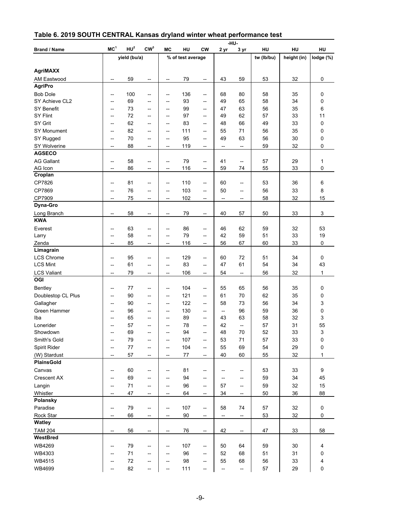|                           |                          |                 |                          |                          |                   |                                    |                          | -HU-                     |            |             |           |
|---------------------------|--------------------------|-----------------|--------------------------|--------------------------|-------------------|------------------------------------|--------------------------|--------------------------|------------|-------------|-----------|
| <b>Brand / Name</b>       | MC <sup>1</sup>          | HU <sup>2</sup> | CW <sup>3</sup>          | МC                       | HU                | CW                                 | 2 yr                     | 3 yr                     | HU         | HU          | HU        |
|                           |                          | yield (bu/a)    |                          |                          | % of test average |                                    |                          |                          | tw (lb/bu) | height (in) | lodge (%) |
| <b>AgriMAXX</b>           |                          |                 |                          |                          |                   |                                    |                          |                          |            |             |           |
|                           |                          |                 |                          |                          |                   |                                    |                          |                          |            |             |           |
| AM Eastwood               | $\overline{\phantom{a}}$ | 59              | $\qquad \qquad \cdots$   | $\qquad \qquad -$        | 79                | $\overline{\phantom{a}}$           | 43                       | 59                       | 53         | 32          | 0         |
| <b>AgriPro</b>            |                          |                 |                          |                          |                   |                                    |                          |                          |            |             |           |
| <b>Bob Dole</b>           | $\overline{\phantom{a}}$ | 100             | --                       | $\overline{\phantom{a}}$ | 136               | $\qquad \qquad -$                  | 68                       | 80                       | 58         | 35          | 0         |
| SY Achieve CL2            | --                       | 69              | --                       | --                       | 93                | $\overline{a}$                     | 49                       | 65                       | 58         | 34          | 0         |
| <b>SY Benefit</b>         | $\overline{a}$           | 73              | --                       | $\overline{\phantom{a}}$ | 99                | $\overline{a}$                     | 47                       | 63                       | 56         | 35          | 6         |
| SY Flint                  | $\overline{a}$           | 72              | --                       | $\overline{\phantom{a}}$ | 97                | $\overline{\phantom{a}}$           | 49                       | 62                       | 57         | 33          | 11        |
| SY Grit                   | --                       | 62              | --                       | --                       | 83                | --                                 | 48                       | 66                       | 49         | 33          | 0         |
| <b>SY Monument</b>        | --                       | 82              | --                       | --                       | 111               | --                                 | 55                       | 71                       | 56         | 35          | 0         |
| SY Rugged                 | --                       | 70              | --                       | $\overline{\phantom{a}}$ | 95                | $\overline{a}$                     | 49                       | 63                       | 56         | 30          | 0         |
| SY Wolverine              | $\overline{a}$           | 88              | $\overline{\phantom{a}}$ | $\overline{\phantom{a}}$ | 119               | $\overline{a}$                     | --                       | $\overline{\phantom{a}}$ | 59         | 32          | 0         |
| <b>AGSECO</b>             |                          |                 |                          |                          |                   |                                    |                          |                          |            |             |           |
| <b>AG Gallant</b>         | --                       | 58              | --                       | --                       | 79                | --                                 | 41                       | --                       | 57         | 29          | 1         |
| AG Icon                   | --                       | 86              | --                       | --                       | 116               | --                                 | 59                       | 74                       | 55         | 33          | 0         |
| Croplan                   |                          |                 |                          |                          |                   |                                    |                          |                          |            |             |           |
| CP7826                    | --                       | 81              | --                       | $\overline{\phantom{a}}$ | 110               | --                                 | 60                       | --                       | 53         | 36          | 6         |
| CP7869                    | $\overline{a}$           | 76              | --                       | $\overline{\phantom{a}}$ | 103               | $\qquad \qquad -$                  | 50                       | --                       | 56         | 33          | 8         |
| CP7909                    | --                       | 75              | $\overline{\phantom{a}}$ | $\overline{\phantom{a}}$ | 102               | --                                 | $\overline{\phantom{a}}$ | --                       | 58         | 32          | 15        |
| Dyna-Gro                  |                          |                 |                          |                          |                   |                                    |                          |                          |            |             |           |
| Long Branch               | --                       | 58              | $\overline{\phantom{a}}$ | $\overline{\phantom{a}}$ | 79                | $\qquad \qquad -$                  | 40                       | 57                       | 50         | 33          | 3         |
| <b>KWA</b>                |                          |                 |                          |                          |                   |                                    |                          |                          |            |             |           |
| Everest                   | $\overline{a}$           | 63              | --                       | $\overline{a}$           | 86                | $\qquad \qquad -$                  | 46                       | 62                       | 59         | 32          | 53        |
| Larry                     | --                       | 58              | $\overline{\phantom{a}}$ | $\overline{\phantom{a}}$ | 79                | $\qquad \qquad -$                  | 42                       | 59                       | 51         | 33          | 19        |
| Zenda                     | --                       | 85              | $\overline{\phantom{a}}$ | $\overline{\phantom{a}}$ | 116               | $\qquad \qquad -$                  | 56                       | 67                       | 60         | 33          | 0         |
| Limagrain                 |                          |                 |                          |                          |                   |                                    |                          |                          |            |             |           |
| <b>LCS Chrome</b>         | --                       | 95              | --                       | $\overline{\phantom{a}}$ | 129               | --                                 | 60                       | 72                       | 51         | 34          | 0         |
| <b>LCS Mint</b>           | --                       | 61              | --                       | $\overline{\phantom{a}}$ | 83                | --                                 | 47                       | 61                       | 54         | 34          | 43        |
|                           |                          |                 |                          |                          |                   |                                    |                          |                          |            |             |           |
| <b>LCS Valiant</b><br>OGI | $\overline{a}$           | 79              | $\overline{\phantom{a}}$ | $\overline{\phantom{a}}$ | 106               | $\qquad \qquad -$                  | 54                       | $\overline{\phantom{a}}$ | 56         | 32          | 1         |
|                           |                          |                 |                          |                          |                   |                                    |                          |                          |            |             |           |
| Bentley                   | --                       | 77              | --                       | --                       | 104               | --                                 | 55                       | 65                       | 56         | 35          | 0         |
| Doublestop CL Plus        | --                       | 90              | --                       | $\overline{\phantom{a}}$ | 121               | --                                 | 61                       | 70                       | 62         | 35          | 0         |
| Gallagher                 | $\overline{\phantom{a}}$ | 90              | $\overline{\phantom{a}}$ | $\overline{\phantom{a}}$ | 122               | $\overline{a}$                     | 58                       | 73                       | 56         | 34          | 3         |
| Green Hammer              | --                       | 96              | --                       | $\overline{\phantom{a}}$ | 130               | --                                 | $\qquad \qquad -$        | 96                       | 59         | 36          | 0         |
| Iba                       | --                       | 65              | --                       | --                       | 89                | --                                 | 43                       | 63                       | 58         | 32          | 3         |
| Lonerider                 | --                       | 57              | --                       | --                       | 78                | --                                 | 42                       | --                       | 57         | 31          | 55        |
| Showdown                  |                          | 69              | --                       | --                       | 94                | $-$                                | 48                       | 70                       | 52         | 33          | 3         |
| Smith's Gold              | --                       | 79              | --                       | $\overline{\phantom{a}}$ | 107               | --                                 | 53                       | 71                       | 57         | 33          | 0         |
| Spirit Rider              | --                       | $77 \,$         | --                       | --                       | 104               | --                                 | 55                       | 69                       | 54         | 29          | 0         |
| (W) Stardust              | $\overline{\phantom{a}}$ | 57              | $\hspace{0.05cm} \dashv$ | $\qquad \qquad -$        | $77 \,$           | --                                 | 40                       | 60                       | 55         | 32          | 1         |
| PlainsGold                |                          |                 |                          |                          |                   |                                    |                          |                          |            |             |           |
| Canvas                    | --                       | 60              | --                       | --                       | 81                | --                                 |                          | --                       | 53         | 33          | 9         |
| Crescent AX               | --                       | 69              | $\overline{\phantom{a}}$ | $\overline{a}$           | 94                | --                                 | --                       | --                       | 59         | 34          | 45        |
| Langin                    | $\overline{a}$           | 71              | --                       | --                       | 96                | --                                 | 57                       | --                       | 59         | 32          | 15        |
| Whistler                  | --                       | 47              | $\overline{\phantom{a}}$ | $\overline{\phantom{a}}$ | 64                | --                                 | 34                       | $\overline{\phantom{a}}$ | 50         | 36          | 88        |
| Polansky                  |                          |                 |                          |                          |                   |                                    |                          |                          |            |             |           |
| Paradise                  | --                       | 79              | $\overline{\phantom{a}}$ | $\qquad \qquad -$        | 107               | $\overline{\phantom{a}}$           | 58                       | 74                       | 57         | 32          | 0         |
| Rock Star                 |                          | 66              |                          |                          | $90\,$            |                                    |                          |                          | 53         | 32          | $\pmb{0}$ |
| Watley                    | --                       |                 | --                       | --                       |                   | --                                 | --                       | --                       |            |             |           |
|                           |                          |                 |                          |                          |                   |                                    |                          |                          |            |             |           |
| <b>TAM 204</b>            | --                       | 56              | $\overline{\phantom{a}}$ | $\overline{\phantom{a}}$ | 76                | $\overline{\phantom{a}}$           | 42                       | --                       | 47         | $33\,$      | 58        |
| WestBred                  |                          |                 |                          |                          |                   |                                    |                          |                          |            |             |           |
| WB4269                    | --                       | 79              | $\overline{\phantom{a}}$ | $\overline{\phantom{a}}$ | 107               | $\hspace{0.05cm} -\hspace{0.05cm}$ | 50                       | 64                       | 59         | $30\,$      | 4         |
| WB4303                    | $\qquad \qquad -$        | 71              | $\overline{\phantom{a}}$ | $\qquad \qquad -$        | 96                | $\overline{\phantom{a}}$           | 52                       | 68                       | 51         | 31          | 0         |
| WB4515                    | --                       | $72\,$          | $\overline{\phantom{a}}$ | --                       | 98                | --                                 | 55                       | 68                       | 56         | 33          | 4         |
| WB4699                    | --                       | 82              | --                       | --                       | 111               | ⊷                                  | $\overline{\phantom{a}}$ | --                       | 57         | 29          | $\pmb{0}$ |

#### **Table 6. 2019 SOUTH CENTRAL Kansas dryland winter wheat performance test**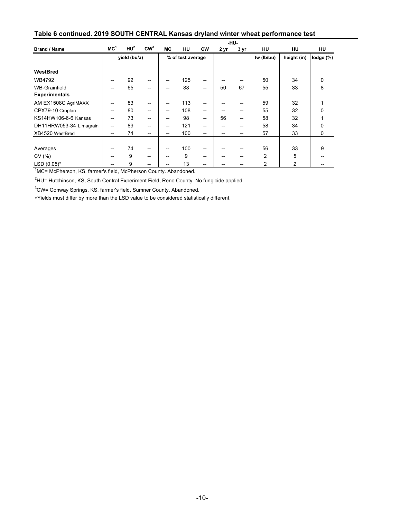|                         |                          |                 |                          |                                       |                   |                                       |      | -HU- |            |             |          |
|-------------------------|--------------------------|-----------------|--------------------------|---------------------------------------|-------------------|---------------------------------------|------|------|------------|-------------|----------|
| <b>Brand / Name</b>     | MC <sup>1</sup>          | HU <sup>2</sup> | CW <sup>3</sup>          | МC                                    | HU                | <b>CW</b>                             | 2 yr | 3 yr | HU         | HU          | HU       |
|                         |                          | yield (bu/a)    |                          |                                       | % of test average |                                       |      |      | tw (lb/bu) | height (in) | Iodge(%) |
| WestBred                |                          |                 |                          |                                       |                   |                                       |      |      |            |             |          |
| WB4792                  | $\overline{\phantom{a}}$ | 92              | $- -$                    | $\hspace{0.05cm}$ – $\hspace{0.05cm}$ | 125               | $\overline{\phantom{a}}$              | --   | --   | 50         | 34          | 0        |
| <b>WB-Grainfield</b>    | $- -$                    | 65              | $- -$                    | $- -$                                 | 88                | $\overline{\phantom{a}}$              | 50   | 67   | 55         | 33          | 8        |
| <b>Experimentals</b>    |                          |                 |                          |                                       |                   |                                       |      |      |            |             |          |
| AM EX1508C AgriMAXX     | $\overline{\phantom{a}}$ | 83              | $\overline{\phantom{a}}$ | --                                    | 113               | $- -$                                 |      |      | 59         | 32          |          |
| CPX79-10 Croplan        | $\overline{\phantom{a}}$ | 80              | $- -$                    | $\overline{\phantom{a}}$              | 108               | $\overline{\phantom{a}}$              | --   | --   | 55         | 32          | 0        |
| KS14HW106-6-6 Kansas    | $\overline{\phantom{a}}$ | 73              | $\overline{\phantom{a}}$ | --                                    | 98                | $\overline{\phantom{a}}$              | 56   | --   | 58         | 32          |          |
| DH11HRW053-34 Limagrain | $\overline{\phantom{a}}$ | 89              | $\overline{\phantom{a}}$ | $\overline{\phantom{a}}$              | 121               | $\hspace{0.05cm}$ – $\hspace{0.05cm}$ | --   | --   | 58         | 34          | $\Omega$ |
| XB4520 WestBred         | $\overline{\phantom{a}}$ | 74              | $\hspace{0.05cm}$        | --                                    | 100               | --                                    | --   | --   | 57         | 33          | 0        |
|                         |                          |                 |                          |                                       |                   |                                       |      |      |            |             |          |
| Averages                | --                       | 74              | --                       | --                                    | 100               | $- -$                                 |      |      | 56         | 33          | 9        |
| CV(% )                  | --                       | 9               | $\overline{\phantom{m}}$ | $- -$                                 | 9                 | $\hspace{0.05cm}$ – $\hspace{0.05cm}$ | --   | --   | 2          | 5           |          |
| $LSD (0.05)^*$          |                          | 9               | --                       |                                       | 13                | $\overline{\phantom{a}}$              |      |      | 2          | 2           |          |

# **Table 6 continued. 2019 SOUTH CENTRAL Kansas dryland winter wheat performance test**

<sup>1</sup>MC= McPherson, KS, farmer's field, McPherson County. Abandoned.

 ${}^{2}$ HU= Hutchinson, KS, South Central Experiment Field, Reno County. No fungicide applied.

<sup>3</sup>CW= Conway Springs, KS, farmer's field, Sumner County. Abandoned.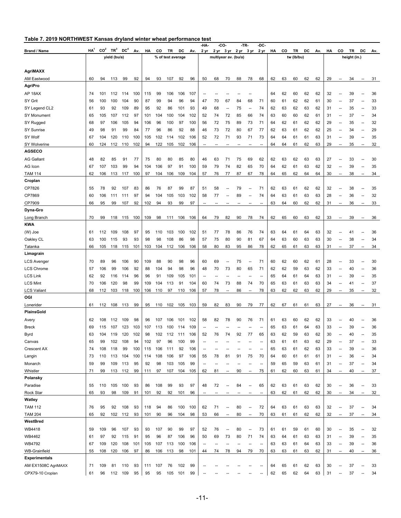#### **Table 7. 2019 NORTHWEST Kansas dryland winter wheat performance test**

|                               | HA <sup>1</sup> | CO <sup>2</sup> | $TR^3$       | DC <sup>4</sup> |     |     |     |                         |     |     | -HA-                     |                          | -CO-                     | -TR- |                          | -DC- |    |           |                  |    |     |    |                          |                    |                          |     |
|-------------------------------|-----------------|-----------------|--------------|-----------------|-----|-----|-----|-------------------------|-----|-----|--------------------------|--------------------------|--------------------------|------|--------------------------|------|----|-----------|------------------|----|-----|----|--------------------------|--------------------|--------------------------|-----|
| <b>Brand / Name</b>           |                 |                 | yield (bu/a) |                 | Av. | ΗA  | CO  | TR<br>% of test average | DC  | Av. | 2 yr                     | multiyear av. (bu/a)     | 2 yr 3 yr                | 2 yr | 3 yr 2 yr                |      | HA | <b>CO</b> | TR<br>tw (lb/bu) | DC | Av. | HA | CO                       | TR<br>height (in.) | DC                       | Av. |
|                               |                 |                 |              |                 |     |     |     |                         |     |     |                          |                          |                          |      |                          |      |    |           |                  |    |     |    |                          |                    |                          |     |
| <b>AgriMAXX</b>               |                 |                 |              |                 |     |     |     |                         |     |     |                          |                          |                          |      |                          |      |    |           |                  |    |     |    |                          |                    |                          |     |
|                               |                 |                 |              |                 |     |     |     |                         |     |     |                          |                          |                          |      |                          |      |    |           |                  |    |     |    |                          |                    |                          |     |
| AM Eastwood<br><b>AgriPro</b> | 60              | 94              | 113          | 99              | 92  | 94  | 93  | 107                     | 92  | 96  | 50                       | 68                       | 70                       | 88   | 78                       | 68   | 62 | 63        | 60               | 62 | 62  | 29 |                          | 34                 |                          | 31  |
|                               |                 |                 |              |                 |     |     |     |                         |     |     |                          |                          |                          |      |                          |      |    |           |                  |    |     |    |                          |                    |                          |     |
| AP 18AX                       | 74              | 101             | 112          | 114             | 100 | 115 | 99  | 106                     | 106 | 107 |                          |                          |                          |      |                          |      | 64 | 62        | 60               | 62 | 62  | 32 |                          | 39                 |                          | 36  |
| SY Grit                       | 56              | 100             | 100          | 104             | 90  | 87  | 99  | 94                      | 96  | 94  | 47                       | 70                       | 67                       | 84   | 68                       | 71   | 60 | 61        | 62               | 62 | 61  | 30 | --                       | 37                 | Ξ.                       | 33  |
| SY Legend CL2                 | 61              | 93              | 92           | 109             | 89  | 95  | 92  | 86                      | 101 | 93  | 49                       | 68                       | --                       | 75   | $\overline{\phantom{a}}$ | 74   | 62 | 63        | 62               | 63 | 62  | 31 | $\overline{a}$           | 35                 | Ξ.                       | 33  |
| <b>SY Monument</b>            | 65              | 105             | 107          | 112             | 97  | 101 | 104 | 100                     | 104 | 102 | 52                       | 74                       | 72                       | 85   | 66                       | 74   | 63 | 60        | 60               | 62 | 61  | 31 | --                       | 37                 | Ξ.                       | 34  |
| SY Rugged                     | 68              | 97              | 106          | 105             | 94  | 106 | 96  | 100                     | 97  | 100 | 56                       | 72                       | 75                       | 89   | 73                       | 71   | 64 | 62        | 61               | 62 | 62  | 29 | $\overline{\phantom{a}}$ | 35                 | --                       | 32  |
| SY Sunrise                    | 49              | 98              | 91           | 99              | 84  | 77  | 96  | 86                      | 92  | 88  | 46                       | 73                       | 72                       | 80   | 67                       | 77   | 62 | 63        | 61               | 62 | 62  | 25 | $\overline{\phantom{a}}$ | 34                 | --                       | 29  |
| SY Wolf                       | 67              | 104             | 120          | 110             | 100 | 105 | 102 | 114                     | 102 | 106 | 52                       | 72                       | 71                       | 93   | 71                       | 73   | 64 | 64        | 61               | 61 | 63  | 31 | $\overline{\phantom{a}}$ | 39                 | ц,                       | 35  |
| <b>SY Wolverine</b>           | 60              | 124             | 112          | 110             | 102 | 94  | 122 | 105                     | 102 | 106 | $\overline{\phantom{a}}$ | $\overline{\phantom{a}}$ | $\overline{a}$           | --   | $\overline{\phantom{a}}$ | --   | 64 | 64        | 61               | 62 | 63  | 29 | $\overline{\phantom{a}}$ | 35                 | --                       | 32  |
| <b>AGSECO</b>                 |                 |                 |              |                 |     |     |     |                         |     |     |                          |                          |                          |      |                          |      |    |           |                  |    |     |    |                          |                    |                          |     |
| <b>AG Gallant</b>             | 48              | 82              | 85           | 91              | 77  | 75  | 80  | 80                      | 85  | 80  | 46                       | 63                       | 71                       | 75   | 69                       | 62   | 62 | 63        | 62               | 63 | 63  | 27 |                          | 33                 |                          | 30  |
| AG Icon                       | 67              | 107             | 103          | 99              | 94  | 104 | 106 | 97                      | 91  | 100 | 59                       | 79                       | 74                       | 82   | 65                       | 70   | 64 | 62        | 61               | 63 | 62  | 32 |                          | 39                 |                          | 35  |
| <b>TAM 114</b>                | 62              | 106             | 113          | 117             | 100 | 97  | 104 | 106                     | 109 | 104 | 57                       | 76                       | 77                       | 87   | 67                       | 78   | 64 | 65        | 62               | 64 | 64  | 30 | $\overline{\phantom{a}}$ | 38                 | --                       | 34  |
| Croplan                       |                 |                 |              |                 |     |     |     |                         |     |     |                          |                          |                          |      |                          |      |    |           |                  |    |     |    |                          |                    |                          |     |
| CP7826                        | 55              | 78              | 92           | 107             | 83  | 86  | 76  | 87                      | 99  | 87  | 51                       | 58                       |                          | 79   |                          | 71   | 62 | 63        | 61               | 62 | 62  | 32 |                          | 38                 | ٠.                       | 35  |
| CP7869                        | 60              | 106             | 111          | 111             | 97  | 94  | 104 | 105                     | 103 | 102 | 58                       | 77                       |                          | 89   | Ц.                       | 74   | 64 | 63        | 61               | 63 | 63  | 28 |                          | 36                 | Ξ.                       | 32  |
| CP7909                        | 66              | 95              | 99           | 107             | 92  | 102 | 94  | 93                      | 99  | 97  | --                       | $\overline{\phantom{a}}$ | $\overline{\phantom{a}}$ | --   | --                       | --   | 63 | 64        | 60               | 62 | 62  | 31 | $\overline{\phantom{a}}$ | 36                 | $\overline{\phantom{a}}$ | 33  |
| Dyna-Gro                      |                 |                 |              |                 |     |     |     |                         |     |     |                          |                          |                          |      |                          |      |    |           |                  |    |     |    |                          |                    |                          |     |
| Long Branch                   | 70              | 99              | 118          | 115             | 100 | 109 | 98  | 111                     | 106 | 106 | 64                       | 79                       | 82                       | 90   | 78                       | 74   | 62 | 65        | 60               | 63 | 62  | 33 |                          | 39                 | ц,                       | 36  |
| <b>KWA</b>                    |                 |                 |              |                 |     |     |     |                         |     |     |                          |                          |                          |      |                          |      |    |           |                  |    |     |    |                          |                    |                          |     |
|                               | 61              | 112             | 109          | 108             | 97  | 95  | 110 | 103                     | 100 | 102 | 51                       | 77                       | 78                       | 86   | 76                       | 74   | 63 | 64        | 61               | 64 | 63  | 32 |                          | 41                 | ٠.                       | 36  |
| (W) Joe                       | 63              | 100             | 115          | 93              | 93  | 98  | 98  | 108                     | 86  | 98  | 57                       | 75                       | 80                       | 90   | 81                       | 67   | 64 | 63        | 60               | 63 | 63  | 30 |                          | 38                 | ٠.                       | 34  |
| Oakley CL                     |                 |                 |              |                 |     |     |     |                         |     |     |                          |                          |                          |      |                          |      |    |           |                  |    |     |    |                          |                    |                          |     |
| Tatanka                       | 66              | 105             | 118          | 115             | 101 | 103 | 104 | 112                     | 106 | 106 | 58                       | 80                       | 83                       | 95   | 86                       | 78   | 62 | 65        | 61               | 63 | 63  | 31 |                          | 37                 | --                       | 34  |
| Limagrain                     |                 |                 |              |                 |     |     |     |                         |     |     |                          |                          |                          |      |                          |      |    |           |                  |    |     |    |                          |                    |                          |     |
| <b>LCS Avenger</b>            | 70              | 89              | 96           | 106             | 90  | 109 | 88  | 90                      | 98  | 96  | 60                       | 69                       |                          | 75   | --                       | 71   | 60 | 62        | 60               | 62 | 61  | 28 |                          | 33                 | Ξ.                       | 30  |
| <b>LCS Chrome</b>             | 57              | 106             | 99           | 106             | 92  | 88  | 104 | 94                      | 98  | 96  | 48                       | 70                       | 73                       | 80   | 65                       | 71   | 62 | 62        | 59               | 63 | 62  | 33 |                          | 40                 | ٠.                       | 36  |
| <b>LCS Link</b>               | 62              | 92              | 116          | 114             | 96  | 96  | 91  | 109                     | 105 | 101 | --                       |                          |                          |      |                          | ٠.   | 65 | 64        | 61               | 64 | 63  | 31 | Ξ.                       | 39                 | ц,                       | 35  |
| <b>LCS Mint</b>               | 70              | 106             | 120          | 98              | 99  | 109 | 104 | 113                     | 91  | 104 | 60                       | 74                       | 73                       | 88   | 74                       | 70   | 65 | 63        | 61               | 63 | 63  | 34 | $\overline{\phantom{a}}$ | 41                 | --                       | 37  |
| <b>LCS Valiant</b>            | 68              | 112             | 103          | 118             | 100 | 106 | 110 | 97                      | 110 | 106 | 57                       | 78                       |                          | 86   | --                       | 78   | 63 | 62        | 62               | 63 | 62  | 29 |                          | 35                 | Ξ.                       | 32  |
| OGI                           |                 |                 |              |                 |     |     |     |                         |     |     |                          |                          |                          |      |                          |      |    |           |                  |    |     |    |                          |                    |                          |     |
| Lonerider                     | 61              | 112             | 108          | 113             | 99  | 95  | 110 | 102                     | 105 | 103 | 59                       | 82                       | 83                       | 90   | 79                       | 77   | 62 | 67        | 61               | 61 | 63  | 27 | $\overline{\phantom{a}}$ | 36                 | $\overline{\phantom{a}}$ | 31  |
| PlainsGold                    |                 |                 |              |                 |     |     |     |                         |     |     |                          |                          |                          |      |                          |      |    |           |                  |    |     |    |                          |                    |                          |     |
| Avery                         | 62              | 108             | 112          | 109             | 98  | 96  | 107 | 106                     | 101 | 102 | 58                       | 82                       | 78                       | 90   | 76                       | 71   | 61 | 63        | 60               | 62 | 62  | 33 |                          | 40                 |                          | 36  |
| Breck                         | 69              | 115             | 107          | 123             | 103 | 107 | 113 | 100                     | 114 | 109 |                          |                          |                          |      |                          |      | 65 | 63        | 61               | 64 | 63  | 33 |                          | 39                 |                          | 36  |
| Byrd                          | 63              | 104             | 119          | 120             | 102 | 98  | 102 | 112                     | 111 | 106 | 52                       | 76                       | 74                       | 92   | 77                       | 65   | 63 | 62        | 59               | 63 | 62  | 30 |                          | 40                 | ц,                       | 35  |
| Canvas                        | 65              | 99              | 102          | 108             | 94  | 102 | 97  | 96                      | 100 | 99  |                          |                          |                          |      |                          |      | 63 | 61        | 61               | 63 | 62  | 29 | --                       | 37                 | --                       | 33  |
| <b>Crescent AX</b>            | 74              | 108             | 118          | 99              | 100 | 115 | 106 | 111                     | 92  | 106 |                          |                          |                          |      |                          | --   | 65 | 63        | 61               | 62 | 63  | 33 |                          | 39                 | Ξ.                       | 36  |
| Langin                        | 73              | 110             | 113          | 104             | 100 | 114 | 108 | 106                     | 97  | 106 | 55                       | 78                       | 81                       | 91   | 75                       | 70   | 64 | 60        | 61               | 61 | 61  | 31 | --                       | 36                 | Ξ.                       | 34  |
| Monarch                       | 59              | 99              | 109          | 113             | 95  | 92  | 98  | 103                     | 105 | 99  |                          | $\overline{\phantom{a}}$ |                          |      | Ξ.                       |      | 59 | 65        | 59               | 63 | 61  | 31 |                          | 37                 | Ξ.                       | 34  |
| Whistler                      | 71              | 99              | 113 112      |                 | 99  | 111 | 97  | 107                     | 104 | 105 | 62                       | 81                       | $\overline{a}$           | 90   | $\overline{\phantom{a}}$ | 75   | 61 | 62        | 60               | 63 | 61  | 34 | $\overline{a}$           | 40                 | --                       | 37  |
| Polansky                      |                 |                 |              |                 |     |     |     |                         |     |     |                          |                          |                          |      |                          |      |    |           |                  |    |     |    |                          |                    |                          |     |
| Paradise                      | 55              | 110             | 105          | 100             | 93  | 86  | 108 | 99                      | 93  | 97  | 48                       | 72                       | $\sim$                   | 84   | $\overline{\phantom{a}}$ | 65   | 62 | 63        | 61               | 63 | 62  | 30 | --                       | 36                 | $\overline{a}$           | 33  |
| Rock Star                     | 65              | 93              | 98           | 109             | 91  | 101 | 92  | 92                      | 101 | 96  | $\overline{\phantom{a}}$ | $\overline{a}$           | --                       | ц,   | --                       | --   | 63 | 62        | 61               | 62 | 62  | 30 | $\overline{a}$           | 34                 | $\overline{a}$           | 32  |
| Watley                        |                 |                 |              |                 |     |     |     |                         |     |     |                          |                          |                          |      |                          |      |    |           |                  |    |     |    |                          |                    |                          |     |
| <b>TAM 112</b>                | 76              | 95              | 92           | 108             | 93  | 118 | 94  | 86                      | 100 | 100 | 62                       | 71                       | --                       | 80   | --                       | 72   | 64 | 63        | 61               | 63 | 63  | 32 |                          | 37                 | ٠.                       | 34  |
|                               |                 |                 |              |                 |     |     |     |                         |     |     |                          |                          |                          |      |                          |      |    |           |                  |    |     |    |                          |                    |                          |     |
| <b>TAM 204</b><br>WestBred    | 65              | 92              | 102          | 112             | 93  | 101 | 90  | 96                      | 104 | 98  | 53                       | 66                       | $\overline{\phantom{a}}$ | 80   | $\overline{\phantom{a}}$ | 70   | 63 | 61        | 61               | 62 | 62  | 32 | --                       | 37                 | --                       | 34  |
|                               |                 |                 |              |                 |     |     |     |                         |     |     |                          |                          |                          |      |                          |      |    |           |                  |    |     |    |                          |                    |                          |     |
| WB4418                        | 59              | 109             | 96           | 107             | 93  | 93  | 107 | 90                      | 99  | 97  | 52                       | 76                       | $\overline{a}$           | 80   | --                       | 73   | 61 | 61        | 59               | 61 | 60  | 30 | --                       | 35                 | Ξ.                       | 32  |
| WB4462                        | 61              | 97              | 92           | 115             | 91  | 95  | 96  | 87                      | 106 | 96  | 50                       | 69                       | 73                       | 80   | 71                       | 74   | 63 | 64        | 61               | 63 | 63  | 31 | --                       | 39                 | --                       | 35  |
| WB4792                        | 67              | 109             | 120          | 108             | 101 | 105 | 107 | 113                     | 100 | 106 | --                       | $\overline{\phantom{a}}$ |                          | ц,   | --                       | --   | 63 | 63        | 61               | 64 | 63  | 33 | --                       | 39                 | --                       | 36  |
| <b>WB-Grainfield</b>          | 55              | 108             | 120          | 106             | 97  | 86  | 106 | 113                     | 98  | 101 | 44                       | 74                       | 78                       | 94   | 79                       | 70   | 63 | 63        | 61               | 63 | 62  | 31 | Ξ.                       | 40                 | Ξ.                       | 36  |
| <b>Experimentals</b>          |                 |                 |              |                 |     |     |     |                         |     |     |                          |                          |                          |      |                          |      |    |           |                  |    |     |    |                          |                    |                          |     |
| AM EX1508C AgriMAXX           | 71              | 109             | 81           | 110             | 93  | 111 | 107 | 76                      | 102 | 99  |                          |                          |                          |      |                          |      | 64 | 65        | 61               | 62 | 63  | 30 |                          | 37                 |                          | 33  |
| CPX79-10 Croplan              | 61              | 96              | 112 109      |                 | 95  | 95  | 95  | 105                     | 101 | 99  |                          |                          |                          |      |                          |      | 62 | 65        | 62               | 64 | 63  | 31 |                          | 37                 | Ξ.                       | 34  |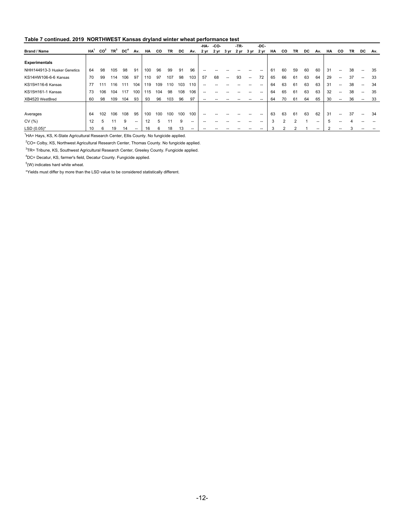#### **Table 7 continued. 2019 NORTHWEST Kansas dryland winter wheat performance test**

|                             |                 |                 |        |                 |                          |           |           |           |     |                          |      | -HA- -CO- |      | -TR- |      | -DC- |    |     |           |    |                          |    |                          |     |                          |     |
|-----------------------------|-----------------|-----------------|--------|-----------------|--------------------------|-----------|-----------|-----------|-----|--------------------------|------|-----------|------|------|------|------|----|-----|-----------|----|--------------------------|----|--------------------------|-----|--------------------------|-----|
| <b>Brand / Name</b>         | HA <sup>1</sup> | CO <sup>2</sup> | $TR^3$ | DC <sup>4</sup> | Av.                      | <b>HA</b> | <b>CO</b> | <b>TR</b> | DC  | Av.                      | 2 yr | 2 vr      | 3 yr | 2 yr | 3 yr | 2 vr | HA | CO. | <b>TR</b> | DC | Av.                      | HA | co                       | TR. | DC                       | Av. |
| <b>Experimentals</b>        |                 |                 |        |                 |                          |           |           |           |     |                          |      |           |      |      |      |      |    |     |           |    |                          |    |                          |     |                          |     |
| NHH144913-3 Husker Genetics | 64              | 98              | 105    | 98              | 91                       | 100       | 96        | 99        | 91  | 96                       |      |           |      |      |      | --   | 61 | 60  | 59        | 60 | 60                       | 31 | $\sim$                   | 38  | $\overline{\phantom{a}}$ | 35  |
| KS14HW106-6-6 Kansas        | 70              | 99              | 114    | 106             | 97                       | 110       | 97        | 107       | 98  | 103                      | 57   | 68        | --   | 93   | --   | 72   | 65 | 66  | 61        | 63 | 64                       | 29 | $\overline{\phantom{a}}$ | 37  | $\overline{\phantom{a}}$ | 33  |
| KS15H116-6 Kansas           | 77              | 111             | 116    | 111             | 104                      | 119       | 109       | 110       | 103 | 110                      | --   |           |      |      |      | --   | 64 | 63  | 61        | 63 | 63                       | 31 | $\overline{\phantom{a}}$ | 38  | $\overline{\phantom{a}}$ | 34  |
| KS15H161-1 Kansas           | 73              | 106             | 104    | 117             | 100                      | 115       | 104       | 98        | 108 | 106                      |      |           |      |      |      | --   | 64 | 65  | 61        | 63 | 63                       | 32 | $\overline{\phantom{a}}$ | 38  | $\overline{\phantom{a}}$ | 35  |
| XB4520 WestBred             | 60              | 98              | 109    | 104             | 93                       | 93        | 96        | 103       | 96  | 97                       |      |           |      |      |      |      | 64 | 70  | 61        | 64 | 65                       | 30 | $\overline{\phantom{a}}$ | 36  | --                       | -33 |
|                             |                 |                 |        |                 |                          |           |           |           |     |                          |      |           |      |      |      |      |    |     |           |    |                          |    |                          |     |                          |     |
| Averages                    | 64              | 102             | 106    | 108             | 95                       | 100       | 100       | 100       | 100 | 100                      |      |           |      |      |      |      | 63 | 63  | 61        | 63 | 62                       | 31 | $\overline{\phantom{a}}$ | 37  | $\overline{\phantom{a}}$ | -34 |
| CV(%)                       | 12              |                 | 11     | 9               | $\overline{\phantom{a}}$ | 12        |           | 11        | 9   | $-$                      |      |           |      |      |      |      |    |     |           |    | --                       |    |                          |     |                          |     |
| $LSD (0.05)^*$              | 10              | 6               | 19     | 14              | $\overline{\phantom{a}}$ | 16        |           | 18        | 13  | $\overline{\phantom{a}}$ |      |           |      |      |      |      |    |     |           |    | $\overline{\phantom{a}}$ |    |                          |     |                          |     |

<sup>1</sup>HA= Hays, KS, K-State Agricultural Research Center, Ellis County. No fungicide applied.

 $^{2}$ CO= Colby, KS, Northwest Agricultural Research Center, Thomas County. No fungicide applied.

 ${}^{3}$ TR= Tribune, KS, Southwest Agricultural Research Center, Greeley County. Fungicide applied.

4 DC= Decatur, KS, farmer's field, Decatur County. Fungicide applied.

 $5$ (W) indicates hard white wheat.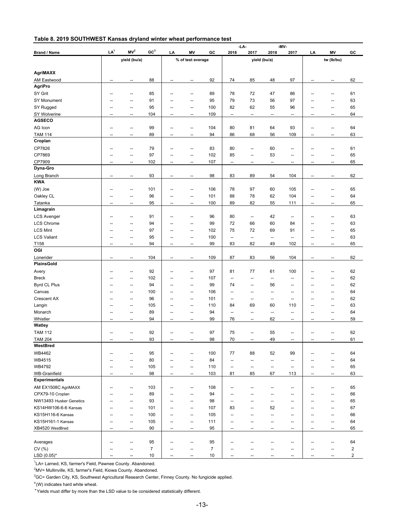| Table 8. 2019 SOUTHWEST Kansas dryland winter wheat performance test |  |
|----------------------------------------------------------------------|--|
|----------------------------------------------------------------------|--|

| MV <sup>2</sup><br>GC <sup>3</sup><br>LA <sup>1</sup><br>GC<br>MV<br>Brand / Name<br>LA<br>ΜV<br>2018<br>2017<br>2018<br>2017<br>LA<br>GC<br>tw (lb/bu)<br>yield (bu/a)<br>% of test average<br>yield (bu/a)<br><b>AgriMAXX</b><br>92<br>74<br>85<br>AM Eastwood<br>88<br>48<br>97<br>62<br>$\overline{a}$<br><b>AgriPro</b><br>SY Grit<br>78<br>72<br>61<br>85<br>89<br>47<br>86<br>--<br>$\overline{\phantom{a}}$<br>$\overline{a}$<br>--<br>--<br><b>SY Monument</b><br>91<br>95<br>79<br>73<br>97<br>63<br>56<br>--<br>--<br>--<br>--<br>$\overline{\phantom{a}}$<br>$\overline{\phantom{a}}$<br>SY Rugged<br>95<br>100<br>82<br>62<br>55<br>96<br>65<br>--<br>$\overline{a}$<br>--<br>--<br>--<br>$\overline{\phantom{a}}$<br>64<br>SY Wolverine<br>104<br>109<br>$\overline{\phantom{a}}$<br>$\overline{\phantom{a}}$<br>--<br>--<br>--<br>--<br>$\overline{\phantom{a}}$<br>--<br>--<br>$\overline{\phantom{a}}$<br><b>AGSECO</b><br>64<br>AG Icon<br>99<br>104<br>80<br>81<br>64<br>93<br>--<br>$\overline{\phantom{a}}$<br>--<br>--<br>--<br>--<br><b>TAM 114</b><br>89<br>94<br>68<br>56<br>63<br>86<br>109<br>$\overline{a}$<br>$\overline{a}$<br>--<br>--<br>Croplan<br>CP7826<br>79<br>83<br>80<br>60<br>61<br>$\overline{\phantom{a}}$<br>--<br>--<br>--<br>--<br>--<br>$\overline{a}$<br>--<br>CP7869<br>97<br>102<br>85<br>53<br>65<br>$\overline{\phantom{a}}$<br>--<br>--<br>--<br>--<br>--<br>$\overline{\phantom{a}}$<br>--<br>CP7909<br>102<br>107<br>65<br>$\overline{\phantom{a}}$<br>--<br>--<br>--<br>--<br>--<br>--<br>$\overline{a}$<br>Dyna-Gro<br>93<br>98<br>83<br>89<br>62<br>Long Branch<br>54<br>104<br>Ξ.<br>$\overline{\phantom{a}}$<br>--<br>--<br>--<br>--<br><b>KWA</b><br>101<br>106<br>97<br>(W) Joe<br>78<br>60<br>105<br>65<br>--<br>--<br>--<br>--<br>$\overline{a}$<br>Oakley CL<br>96<br>101<br>88<br>78<br>62<br>104<br>64<br>--<br>--<br>--<br>--<br>--<br>Ξ.<br>95<br>100<br>89<br>82<br>Tatanka<br>55<br>111<br>65<br>--<br>$\overline{\phantom{a}}$<br>--<br>$\overline{\phantom{a}}$<br>--<br>--<br>Limagrain<br>91<br>80<br><b>LCS Avenger</b><br>96<br>42<br>63<br>--<br>--<br>--<br>$\overline{\phantom{a}}$<br>--<br>$\overline{a}$<br>$\overline{\phantom{a}}$<br>--<br><b>LCS Chrome</b><br>94<br>72<br>99<br>66<br>60<br>84<br>63<br>$\overline{\phantom{a}}$<br>$\overline{a}$<br>--<br>--<br>--<br>--<br><b>LCS Mint</b><br>97<br>102<br>75<br>72<br>69<br>91<br>65<br>$\overline{a}$<br>--<br>--<br>--<br>--<br>--<br><b>LCS Valiant</b><br>95<br>100<br>63<br>$\overline{\phantom{a}}$<br>$\overline{\phantom{a}}$<br>$\overline{\phantom{a}}$<br>--<br>--<br>--<br>--<br>--<br>--<br>--<br>94<br>T158<br>99<br>83<br>82<br>49<br>102<br>65<br>--<br>$\overline{\phantom{a}}$<br>--<br>$\overline{a}$<br>$\overline{a}$<br>--<br>OGI<br>Lonerider<br>104<br>109<br>87<br>83<br>56<br>104<br>62<br>$\overline{\phantom{a}}$<br>$\overline{\phantom{a}}$<br>--<br>--<br>--<br>--<br>PlainsGold<br>97<br>92<br>81<br>77<br>62<br>Avery<br>61<br>100<br>$\overline{a}$<br>--<br>$\overline{\phantom{a}}$<br>--<br>--<br>--<br><b>Breck</b><br>102<br>107<br>62<br>$\overline{\phantom{a}}$<br>--<br>--<br>Ξ.<br>--<br>$\overline{a}$<br>$\overline{a}$<br>--<br>--<br>Byrd CL Plus<br>94<br>99<br>74<br>62<br>56<br>$\overline{\phantom{a}}$<br>--<br>$\overline{\phantom{a}}$<br>--<br>--<br>--<br>--<br>$\overline{\phantom{a}}$<br>100<br>106<br>64<br>Canvas<br>--<br>--<br>$\overline{\phantom{a}}$<br>$\overline{a}$<br>--<br>--<br>--<br>--<br>--<br>101<br>62<br><b>Crescent AX</b><br>96<br>$\overline{\phantom{a}}$<br>$\overline{\phantom{a}}$<br>--<br>--<br>$\overline{a}$<br>--<br>--<br>--<br>$\overline{\phantom{a}}$<br>63<br>Langin<br>105<br>110<br>84<br>69<br>60<br>110<br>$\overline{\phantom{a}}$<br>--<br>--<br>$\overline{a}$<br>--<br>$\overline{\phantom{a}}$<br>89<br>94<br>64<br>Monarch<br>$\overline{\phantom{a}}$<br>$\overline{\phantom{a}}$<br>--<br>--<br>--<br>--<br>--<br>--<br>$\overline{\phantom{a}}$<br>--<br>94<br>99<br>76<br>62<br>59<br>Whistler<br>--<br>--<br>--<br>$\overline{\phantom{a}}$<br>Ξ.<br>$\overline{a}$<br>Watley<br><b>TAM 112</b><br>92<br>97<br>75<br>62<br>55<br>--<br>--<br>$\overline{\phantom{a}}$<br>$\overline{\phantom{a}}$<br>--<br>--<br>--<br><b>TAM 204</b><br>93<br>98<br>70<br>49<br>61<br>$\overline{\phantom{a}}$<br>--<br>--<br>$\overline{\phantom{a}}$<br>--<br>--<br>--<br>--<br>WestBred<br>WB4462<br>95<br>100<br>52<br>64<br>77<br>88<br>99<br>--<br>--<br>--<br>WB4515<br>80<br>84<br>64<br>--<br>--<br>$\overline{\phantom{a}}$<br>--<br>--<br>--<br>--<br>--<br>WB4792<br>105<br>65<br>110<br>--<br>--<br>--<br>--<br>--<br>--<br>--<br>Ξ.<br>--<br>--<br>WB-Grainfield<br>98<br>103<br>63<br>81<br>85<br>67<br>113<br>--<br>--<br>--<br>--<br>--<br><b>Experimentals</b><br>AM EX1508C AgriMAXX<br>103<br>108<br>65<br>--<br>--<br>--<br>--<br>--<br>--<br>--<br>--<br>--<br>94<br>66<br>CPX79-10 Croplan<br>89<br>--<br>--<br>--<br>--<br>--<br>--<br>--<br>--<br>93<br>NW13493 Husker Genetics<br>98<br>65<br>$\overline{a}$<br>$\overline{a}$<br>$\overline{\phantom{a}}$<br>--<br>--<br>--<br>--<br>--<br>67<br>KS14HW106-6-6 Kansas<br>101<br>107<br>83<br>52<br>$\overline{\phantom{a}}$<br>--<br>$\overline{a}$<br>--<br>--<br>--<br>KS15H116-6 Kansas<br>100<br>105<br>66<br>$\overline{\phantom{a}}$<br>--<br>$\overline{\phantom{a}}$<br>--<br>--<br>--<br>--<br>--<br>--<br>KS15H161-1 Kansas<br>111<br>64<br>105<br>$\overline{\phantom{a}}$<br>--<br>--<br>--<br>--<br>--<br>--<br>--<br>--<br>90<br>95<br>65<br>XB4520 WestBred<br>$\overline{\phantom{a}}$<br>--<br>$\overline{\phantom{a}}$<br>$\overline{\phantom{a}}$<br>--<br>--<br>--<br>--<br>--<br>--<br>64<br>Averages<br>95<br>95<br>$\overline{\phantom{a}}$<br>--<br>--<br>--<br>--<br>--<br>--<br>$\overline{\phantom{a}}$<br>--<br>--<br>$\overline{7}$<br>$\boldsymbol{7}$<br>$\mathbf 2$<br>CV (%)<br>$\overline{\phantom{a}}$<br>$\overline{\phantom{a}}$<br>--<br>--<br>--<br>--<br>--<br>--<br>--<br>$\overline{\mathbf{c}}$<br>10<br>10<br>$LSD (0.05)^*$<br>$\overline{\phantom{a}}$<br>$\overline{\phantom{a}}$<br>$\overline{\phantom{a}}$<br>$\overline{\phantom{a}}$<br>$\overline{\phantom{a}}$<br>--<br>$\overline{\phantom{a}}$<br>--<br>$\overline{\phantom{a}}$<br>-- |  |  |  |  |  | -LA- | MV- |  |  |
|----------------------------------------------------------------------------------------------------------------------------------------------------------------------------------------------------------------------------------------------------------------------------------------------------------------------------------------------------------------------------------------------------------------------------------------------------------------------------------------------------------------------------------------------------------------------------------------------------------------------------------------------------------------------------------------------------------------------------------------------------------------------------------------------------------------------------------------------------------------------------------------------------------------------------------------------------------------------------------------------------------------------------------------------------------------------------------------------------------------------------------------------------------------------------------------------------------------------------------------------------------------------------------------------------------------------------------------------------------------------------------------------------------------------------------------------------------------------------------------------------------------------------------------------------------------------------------------------------------------------------------------------------------------------------------------------------------------------------------------------------------------------------------------------------------------------------------------------------------------------------------------------------------------------------------------------------------------------------------------------------------------------------------------------------------------------------------------------------------------------------------------------------------------------------------------------------------------------------------------------------------------------------------------------------------------------------------------------------------------------------------------------------------------------------------------------------------------------------------------------------------------------------------------------------------------------------------------------------------------------------------------------------------------------------------------------------------------------------------------------------------------------------------------------------------------------------------------------------------------------------------------------------------------------------------------------------------------------------------------------------------------------------------------------------------------------------------------------------------------------------------------------------------------------------------------------------------------------------------------------------------------------------------------------------------------------------------------------------------------------------------------------------------------------------------------------------------------------------------------------------------------------------------------------------------------------------------------------------------------------------------------------------------------------------------------------------------------------------------------------------------------------------------------------------------------------------------------------------------------------------------------------------------------------------------------------------------------------------------------------------------------------------------------------------------------------------------------------------------------------------------------------------------------------------------------------------------------------------------------------------------------------------------------------------------------------------------------------------------------------------------------------------------------------------------------------------------------------------------------------------------------------------------------------------------------------------------------------------------------------------------------------------------------------------------------------------------------------------------------------------------------------------------------------------------------------------------------------------------------------------------------------------------------------------------------------------------------------------------------------------------------------------------------------------------------------------------------------------------------------------------------------------------------------------------------------------------------------------------------------------------------------------------------------------------------------------------------------------------------------------------------------------------------------------------------------------------------------------------------------------------------------------------------------------------------------------------------------------------------------------------------------------------------------------------------------------------------------------------------------------------------------------------------------------------------------------------------------------------------------------------------------------------------------------------------------------------------------------------------------------------------------------------------------------------------------------------------------------------------------------------------------------------------------------------------------------------------------------------------------------------------------------------------------------------------------|--|--|--|--|--|------|-----|--|--|
|                                                                                                                                                                                                                                                                                                                                                                                                                                                                                                                                                                                                                                                                                                                                                                                                                                                                                                                                                                                                                                                                                                                                                                                                                                                                                                                                                                                                                                                                                                                                                                                                                                                                                                                                                                                                                                                                                                                                                                                                                                                                                                                                                                                                                                                                                                                                                                                                                                                                                                                                                                                                                                                                                                                                                                                                                                                                                                                                                                                                                                                                                                                                                                                                                                                                                                                                                                                                                                                                                                                                                                                                                                                                                                                                                                                                                                                                                                                                                                                                                                                                                                                                                                                                                                                                                                                                                                                                                                                                                                                                                                                                                                                                                                                                                                                                                                                                                                                                                                                                                                                                                                                                                                                                                                                                                                                                                                                                                                                                                                                                                                                                                                                                                                                                                                                                                                                                                                                                                                                                                                                                                                                                                                                                                                                                                                                      |  |  |  |  |  |      |     |  |  |
|                                                                                                                                                                                                                                                                                                                                                                                                                                                                                                                                                                                                                                                                                                                                                                                                                                                                                                                                                                                                                                                                                                                                                                                                                                                                                                                                                                                                                                                                                                                                                                                                                                                                                                                                                                                                                                                                                                                                                                                                                                                                                                                                                                                                                                                                                                                                                                                                                                                                                                                                                                                                                                                                                                                                                                                                                                                                                                                                                                                                                                                                                                                                                                                                                                                                                                                                                                                                                                                                                                                                                                                                                                                                                                                                                                                                                                                                                                                                                                                                                                                                                                                                                                                                                                                                                                                                                                                                                                                                                                                                                                                                                                                                                                                                                                                                                                                                                                                                                                                                                                                                                                                                                                                                                                                                                                                                                                                                                                                                                                                                                                                                                                                                                                                                                                                                                                                                                                                                                                                                                                                                                                                                                                                                                                                                                                                      |  |  |  |  |  |      |     |  |  |
|                                                                                                                                                                                                                                                                                                                                                                                                                                                                                                                                                                                                                                                                                                                                                                                                                                                                                                                                                                                                                                                                                                                                                                                                                                                                                                                                                                                                                                                                                                                                                                                                                                                                                                                                                                                                                                                                                                                                                                                                                                                                                                                                                                                                                                                                                                                                                                                                                                                                                                                                                                                                                                                                                                                                                                                                                                                                                                                                                                                                                                                                                                                                                                                                                                                                                                                                                                                                                                                                                                                                                                                                                                                                                                                                                                                                                                                                                                                                                                                                                                                                                                                                                                                                                                                                                                                                                                                                                                                                                                                                                                                                                                                                                                                                                                                                                                                                                                                                                                                                                                                                                                                                                                                                                                                                                                                                                                                                                                                                                                                                                                                                                                                                                                                                                                                                                                                                                                                                                                                                                                                                                                                                                                                                                                                                                                                      |  |  |  |  |  |      |     |  |  |
|                                                                                                                                                                                                                                                                                                                                                                                                                                                                                                                                                                                                                                                                                                                                                                                                                                                                                                                                                                                                                                                                                                                                                                                                                                                                                                                                                                                                                                                                                                                                                                                                                                                                                                                                                                                                                                                                                                                                                                                                                                                                                                                                                                                                                                                                                                                                                                                                                                                                                                                                                                                                                                                                                                                                                                                                                                                                                                                                                                                                                                                                                                                                                                                                                                                                                                                                                                                                                                                                                                                                                                                                                                                                                                                                                                                                                                                                                                                                                                                                                                                                                                                                                                                                                                                                                                                                                                                                                                                                                                                                                                                                                                                                                                                                                                                                                                                                                                                                                                                                                                                                                                                                                                                                                                                                                                                                                                                                                                                                                                                                                                                                                                                                                                                                                                                                                                                                                                                                                                                                                                                                                                                                                                                                                                                                                                                      |  |  |  |  |  |      |     |  |  |
|                                                                                                                                                                                                                                                                                                                                                                                                                                                                                                                                                                                                                                                                                                                                                                                                                                                                                                                                                                                                                                                                                                                                                                                                                                                                                                                                                                                                                                                                                                                                                                                                                                                                                                                                                                                                                                                                                                                                                                                                                                                                                                                                                                                                                                                                                                                                                                                                                                                                                                                                                                                                                                                                                                                                                                                                                                                                                                                                                                                                                                                                                                                                                                                                                                                                                                                                                                                                                                                                                                                                                                                                                                                                                                                                                                                                                                                                                                                                                                                                                                                                                                                                                                                                                                                                                                                                                                                                                                                                                                                                                                                                                                                                                                                                                                                                                                                                                                                                                                                                                                                                                                                                                                                                                                                                                                                                                                                                                                                                                                                                                                                                                                                                                                                                                                                                                                                                                                                                                                                                                                                                                                                                                                                                                                                                                                                      |  |  |  |  |  |      |     |  |  |
|                                                                                                                                                                                                                                                                                                                                                                                                                                                                                                                                                                                                                                                                                                                                                                                                                                                                                                                                                                                                                                                                                                                                                                                                                                                                                                                                                                                                                                                                                                                                                                                                                                                                                                                                                                                                                                                                                                                                                                                                                                                                                                                                                                                                                                                                                                                                                                                                                                                                                                                                                                                                                                                                                                                                                                                                                                                                                                                                                                                                                                                                                                                                                                                                                                                                                                                                                                                                                                                                                                                                                                                                                                                                                                                                                                                                                                                                                                                                                                                                                                                                                                                                                                                                                                                                                                                                                                                                                                                                                                                                                                                                                                                                                                                                                                                                                                                                                                                                                                                                                                                                                                                                                                                                                                                                                                                                                                                                                                                                                                                                                                                                                                                                                                                                                                                                                                                                                                                                                                                                                                                                                                                                                                                                                                                                                                                      |  |  |  |  |  |      |     |  |  |
|                                                                                                                                                                                                                                                                                                                                                                                                                                                                                                                                                                                                                                                                                                                                                                                                                                                                                                                                                                                                                                                                                                                                                                                                                                                                                                                                                                                                                                                                                                                                                                                                                                                                                                                                                                                                                                                                                                                                                                                                                                                                                                                                                                                                                                                                                                                                                                                                                                                                                                                                                                                                                                                                                                                                                                                                                                                                                                                                                                                                                                                                                                                                                                                                                                                                                                                                                                                                                                                                                                                                                                                                                                                                                                                                                                                                                                                                                                                                                                                                                                                                                                                                                                                                                                                                                                                                                                                                                                                                                                                                                                                                                                                                                                                                                                                                                                                                                                                                                                                                                                                                                                                                                                                                                                                                                                                                                                                                                                                                                                                                                                                                                                                                                                                                                                                                                                                                                                                                                                                                                                                                                                                                                                                                                                                                                                                      |  |  |  |  |  |      |     |  |  |
|                                                                                                                                                                                                                                                                                                                                                                                                                                                                                                                                                                                                                                                                                                                                                                                                                                                                                                                                                                                                                                                                                                                                                                                                                                                                                                                                                                                                                                                                                                                                                                                                                                                                                                                                                                                                                                                                                                                                                                                                                                                                                                                                                                                                                                                                                                                                                                                                                                                                                                                                                                                                                                                                                                                                                                                                                                                                                                                                                                                                                                                                                                                                                                                                                                                                                                                                                                                                                                                                                                                                                                                                                                                                                                                                                                                                                                                                                                                                                                                                                                                                                                                                                                                                                                                                                                                                                                                                                                                                                                                                                                                                                                                                                                                                                                                                                                                                                                                                                                                                                                                                                                                                                                                                                                                                                                                                                                                                                                                                                                                                                                                                                                                                                                                                                                                                                                                                                                                                                                                                                                                                                                                                                                                                                                                                                                                      |  |  |  |  |  |      |     |  |  |
|                                                                                                                                                                                                                                                                                                                                                                                                                                                                                                                                                                                                                                                                                                                                                                                                                                                                                                                                                                                                                                                                                                                                                                                                                                                                                                                                                                                                                                                                                                                                                                                                                                                                                                                                                                                                                                                                                                                                                                                                                                                                                                                                                                                                                                                                                                                                                                                                                                                                                                                                                                                                                                                                                                                                                                                                                                                                                                                                                                                                                                                                                                                                                                                                                                                                                                                                                                                                                                                                                                                                                                                                                                                                                                                                                                                                                                                                                                                                                                                                                                                                                                                                                                                                                                                                                                                                                                                                                                                                                                                                                                                                                                                                                                                                                                                                                                                                                                                                                                                                                                                                                                                                                                                                                                                                                                                                                                                                                                                                                                                                                                                                                                                                                                                                                                                                                                                                                                                                                                                                                                                                                                                                                                                                                                                                                                                      |  |  |  |  |  |      |     |  |  |
|                                                                                                                                                                                                                                                                                                                                                                                                                                                                                                                                                                                                                                                                                                                                                                                                                                                                                                                                                                                                                                                                                                                                                                                                                                                                                                                                                                                                                                                                                                                                                                                                                                                                                                                                                                                                                                                                                                                                                                                                                                                                                                                                                                                                                                                                                                                                                                                                                                                                                                                                                                                                                                                                                                                                                                                                                                                                                                                                                                                                                                                                                                                                                                                                                                                                                                                                                                                                                                                                                                                                                                                                                                                                                                                                                                                                                                                                                                                                                                                                                                                                                                                                                                                                                                                                                                                                                                                                                                                                                                                                                                                                                                                                                                                                                                                                                                                                                                                                                                                                                                                                                                                                                                                                                                                                                                                                                                                                                                                                                                                                                                                                                                                                                                                                                                                                                                                                                                                                                                                                                                                                                                                                                                                                                                                                                                                      |  |  |  |  |  |      |     |  |  |
|                                                                                                                                                                                                                                                                                                                                                                                                                                                                                                                                                                                                                                                                                                                                                                                                                                                                                                                                                                                                                                                                                                                                                                                                                                                                                                                                                                                                                                                                                                                                                                                                                                                                                                                                                                                                                                                                                                                                                                                                                                                                                                                                                                                                                                                                                                                                                                                                                                                                                                                                                                                                                                                                                                                                                                                                                                                                                                                                                                                                                                                                                                                                                                                                                                                                                                                                                                                                                                                                                                                                                                                                                                                                                                                                                                                                                                                                                                                                                                                                                                                                                                                                                                                                                                                                                                                                                                                                                                                                                                                                                                                                                                                                                                                                                                                                                                                                                                                                                                                                                                                                                                                                                                                                                                                                                                                                                                                                                                                                                                                                                                                                                                                                                                                                                                                                                                                                                                                                                                                                                                                                                                                                                                                                                                                                                                                      |  |  |  |  |  |      |     |  |  |
|                                                                                                                                                                                                                                                                                                                                                                                                                                                                                                                                                                                                                                                                                                                                                                                                                                                                                                                                                                                                                                                                                                                                                                                                                                                                                                                                                                                                                                                                                                                                                                                                                                                                                                                                                                                                                                                                                                                                                                                                                                                                                                                                                                                                                                                                                                                                                                                                                                                                                                                                                                                                                                                                                                                                                                                                                                                                                                                                                                                                                                                                                                                                                                                                                                                                                                                                                                                                                                                                                                                                                                                                                                                                                                                                                                                                                                                                                                                                                                                                                                                                                                                                                                                                                                                                                                                                                                                                                                                                                                                                                                                                                                                                                                                                                                                                                                                                                                                                                                                                                                                                                                                                                                                                                                                                                                                                                                                                                                                                                                                                                                                                                                                                                                                                                                                                                                                                                                                                                                                                                                                                                                                                                                                                                                                                                                                      |  |  |  |  |  |      |     |  |  |
|                                                                                                                                                                                                                                                                                                                                                                                                                                                                                                                                                                                                                                                                                                                                                                                                                                                                                                                                                                                                                                                                                                                                                                                                                                                                                                                                                                                                                                                                                                                                                                                                                                                                                                                                                                                                                                                                                                                                                                                                                                                                                                                                                                                                                                                                                                                                                                                                                                                                                                                                                                                                                                                                                                                                                                                                                                                                                                                                                                                                                                                                                                                                                                                                                                                                                                                                                                                                                                                                                                                                                                                                                                                                                                                                                                                                                                                                                                                                                                                                                                                                                                                                                                                                                                                                                                                                                                                                                                                                                                                                                                                                                                                                                                                                                                                                                                                                                                                                                                                                                                                                                                                                                                                                                                                                                                                                                                                                                                                                                                                                                                                                                                                                                                                                                                                                                                                                                                                                                                                                                                                                                                                                                                                                                                                                                                                      |  |  |  |  |  |      |     |  |  |
|                                                                                                                                                                                                                                                                                                                                                                                                                                                                                                                                                                                                                                                                                                                                                                                                                                                                                                                                                                                                                                                                                                                                                                                                                                                                                                                                                                                                                                                                                                                                                                                                                                                                                                                                                                                                                                                                                                                                                                                                                                                                                                                                                                                                                                                                                                                                                                                                                                                                                                                                                                                                                                                                                                                                                                                                                                                                                                                                                                                                                                                                                                                                                                                                                                                                                                                                                                                                                                                                                                                                                                                                                                                                                                                                                                                                                                                                                                                                                                                                                                                                                                                                                                                                                                                                                                                                                                                                                                                                                                                                                                                                                                                                                                                                                                                                                                                                                                                                                                                                                                                                                                                                                                                                                                                                                                                                                                                                                                                                                                                                                                                                                                                                                                                                                                                                                                                                                                                                                                                                                                                                                                                                                                                                                                                                                                                      |  |  |  |  |  |      |     |  |  |
|                                                                                                                                                                                                                                                                                                                                                                                                                                                                                                                                                                                                                                                                                                                                                                                                                                                                                                                                                                                                                                                                                                                                                                                                                                                                                                                                                                                                                                                                                                                                                                                                                                                                                                                                                                                                                                                                                                                                                                                                                                                                                                                                                                                                                                                                                                                                                                                                                                                                                                                                                                                                                                                                                                                                                                                                                                                                                                                                                                                                                                                                                                                                                                                                                                                                                                                                                                                                                                                                                                                                                                                                                                                                                                                                                                                                                                                                                                                                                                                                                                                                                                                                                                                                                                                                                                                                                                                                                                                                                                                                                                                                                                                                                                                                                                                                                                                                                                                                                                                                                                                                                                                                                                                                                                                                                                                                                                                                                                                                                                                                                                                                                                                                                                                                                                                                                                                                                                                                                                                                                                                                                                                                                                                                                                                                                                                      |  |  |  |  |  |      |     |  |  |
|                                                                                                                                                                                                                                                                                                                                                                                                                                                                                                                                                                                                                                                                                                                                                                                                                                                                                                                                                                                                                                                                                                                                                                                                                                                                                                                                                                                                                                                                                                                                                                                                                                                                                                                                                                                                                                                                                                                                                                                                                                                                                                                                                                                                                                                                                                                                                                                                                                                                                                                                                                                                                                                                                                                                                                                                                                                                                                                                                                                                                                                                                                                                                                                                                                                                                                                                                                                                                                                                                                                                                                                                                                                                                                                                                                                                                                                                                                                                                                                                                                                                                                                                                                                                                                                                                                                                                                                                                                                                                                                                                                                                                                                                                                                                                                                                                                                                                                                                                                                                                                                                                                                                                                                                                                                                                                                                                                                                                                                                                                                                                                                                                                                                                                                                                                                                                                                                                                                                                                                                                                                                                                                                                                                                                                                                                                                      |  |  |  |  |  |      |     |  |  |
|                                                                                                                                                                                                                                                                                                                                                                                                                                                                                                                                                                                                                                                                                                                                                                                                                                                                                                                                                                                                                                                                                                                                                                                                                                                                                                                                                                                                                                                                                                                                                                                                                                                                                                                                                                                                                                                                                                                                                                                                                                                                                                                                                                                                                                                                                                                                                                                                                                                                                                                                                                                                                                                                                                                                                                                                                                                                                                                                                                                                                                                                                                                                                                                                                                                                                                                                                                                                                                                                                                                                                                                                                                                                                                                                                                                                                                                                                                                                                                                                                                                                                                                                                                                                                                                                                                                                                                                                                                                                                                                                                                                                                                                                                                                                                                                                                                                                                                                                                                                                                                                                                                                                                                                                                                                                                                                                                                                                                                                                                                                                                                                                                                                                                                                                                                                                                                                                                                                                                                                                                                                                                                                                                                                                                                                                                                                      |  |  |  |  |  |      |     |  |  |
|                                                                                                                                                                                                                                                                                                                                                                                                                                                                                                                                                                                                                                                                                                                                                                                                                                                                                                                                                                                                                                                                                                                                                                                                                                                                                                                                                                                                                                                                                                                                                                                                                                                                                                                                                                                                                                                                                                                                                                                                                                                                                                                                                                                                                                                                                                                                                                                                                                                                                                                                                                                                                                                                                                                                                                                                                                                                                                                                                                                                                                                                                                                                                                                                                                                                                                                                                                                                                                                                                                                                                                                                                                                                                                                                                                                                                                                                                                                                                                                                                                                                                                                                                                                                                                                                                                                                                                                                                                                                                                                                                                                                                                                                                                                                                                                                                                                                                                                                                                                                                                                                                                                                                                                                                                                                                                                                                                                                                                                                                                                                                                                                                                                                                                                                                                                                                                                                                                                                                                                                                                                                                                                                                                                                                                                                                                                      |  |  |  |  |  |      |     |  |  |
|                                                                                                                                                                                                                                                                                                                                                                                                                                                                                                                                                                                                                                                                                                                                                                                                                                                                                                                                                                                                                                                                                                                                                                                                                                                                                                                                                                                                                                                                                                                                                                                                                                                                                                                                                                                                                                                                                                                                                                                                                                                                                                                                                                                                                                                                                                                                                                                                                                                                                                                                                                                                                                                                                                                                                                                                                                                                                                                                                                                                                                                                                                                                                                                                                                                                                                                                                                                                                                                                                                                                                                                                                                                                                                                                                                                                                                                                                                                                                                                                                                                                                                                                                                                                                                                                                                                                                                                                                                                                                                                                                                                                                                                                                                                                                                                                                                                                                                                                                                                                                                                                                                                                                                                                                                                                                                                                                                                                                                                                                                                                                                                                                                                                                                                                                                                                                                                                                                                                                                                                                                                                                                                                                                                                                                                                                                                      |  |  |  |  |  |      |     |  |  |
|                                                                                                                                                                                                                                                                                                                                                                                                                                                                                                                                                                                                                                                                                                                                                                                                                                                                                                                                                                                                                                                                                                                                                                                                                                                                                                                                                                                                                                                                                                                                                                                                                                                                                                                                                                                                                                                                                                                                                                                                                                                                                                                                                                                                                                                                                                                                                                                                                                                                                                                                                                                                                                                                                                                                                                                                                                                                                                                                                                                                                                                                                                                                                                                                                                                                                                                                                                                                                                                                                                                                                                                                                                                                                                                                                                                                                                                                                                                                                                                                                                                                                                                                                                                                                                                                                                                                                                                                                                                                                                                                                                                                                                                                                                                                                                                                                                                                                                                                                                                                                                                                                                                                                                                                                                                                                                                                                                                                                                                                                                                                                                                                                                                                                                                                                                                                                                                                                                                                                                                                                                                                                                                                                                                                                                                                                                                      |  |  |  |  |  |      |     |  |  |
|                                                                                                                                                                                                                                                                                                                                                                                                                                                                                                                                                                                                                                                                                                                                                                                                                                                                                                                                                                                                                                                                                                                                                                                                                                                                                                                                                                                                                                                                                                                                                                                                                                                                                                                                                                                                                                                                                                                                                                                                                                                                                                                                                                                                                                                                                                                                                                                                                                                                                                                                                                                                                                                                                                                                                                                                                                                                                                                                                                                                                                                                                                                                                                                                                                                                                                                                                                                                                                                                                                                                                                                                                                                                                                                                                                                                                                                                                                                                                                                                                                                                                                                                                                                                                                                                                                                                                                                                                                                                                                                                                                                                                                                                                                                                                                                                                                                                                                                                                                                                                                                                                                                                                                                                                                                                                                                                                                                                                                                                                                                                                                                                                                                                                                                                                                                                                                                                                                                                                                                                                                                                                                                                                                                                                                                                                                                      |  |  |  |  |  |      |     |  |  |
|                                                                                                                                                                                                                                                                                                                                                                                                                                                                                                                                                                                                                                                                                                                                                                                                                                                                                                                                                                                                                                                                                                                                                                                                                                                                                                                                                                                                                                                                                                                                                                                                                                                                                                                                                                                                                                                                                                                                                                                                                                                                                                                                                                                                                                                                                                                                                                                                                                                                                                                                                                                                                                                                                                                                                                                                                                                                                                                                                                                                                                                                                                                                                                                                                                                                                                                                                                                                                                                                                                                                                                                                                                                                                                                                                                                                                                                                                                                                                                                                                                                                                                                                                                                                                                                                                                                                                                                                                                                                                                                                                                                                                                                                                                                                                                                                                                                                                                                                                                                                                                                                                                                                                                                                                                                                                                                                                                                                                                                                                                                                                                                                                                                                                                                                                                                                                                                                                                                                                                                                                                                                                                                                                                                                                                                                                                                      |  |  |  |  |  |      |     |  |  |
|                                                                                                                                                                                                                                                                                                                                                                                                                                                                                                                                                                                                                                                                                                                                                                                                                                                                                                                                                                                                                                                                                                                                                                                                                                                                                                                                                                                                                                                                                                                                                                                                                                                                                                                                                                                                                                                                                                                                                                                                                                                                                                                                                                                                                                                                                                                                                                                                                                                                                                                                                                                                                                                                                                                                                                                                                                                                                                                                                                                                                                                                                                                                                                                                                                                                                                                                                                                                                                                                                                                                                                                                                                                                                                                                                                                                                                                                                                                                                                                                                                                                                                                                                                                                                                                                                                                                                                                                                                                                                                                                                                                                                                                                                                                                                                                                                                                                                                                                                                                                                                                                                                                                                                                                                                                                                                                                                                                                                                                                                                                                                                                                                                                                                                                                                                                                                                                                                                                                                                                                                                                                                                                                                                                                                                                                                                                      |  |  |  |  |  |      |     |  |  |
|                                                                                                                                                                                                                                                                                                                                                                                                                                                                                                                                                                                                                                                                                                                                                                                                                                                                                                                                                                                                                                                                                                                                                                                                                                                                                                                                                                                                                                                                                                                                                                                                                                                                                                                                                                                                                                                                                                                                                                                                                                                                                                                                                                                                                                                                                                                                                                                                                                                                                                                                                                                                                                                                                                                                                                                                                                                                                                                                                                                                                                                                                                                                                                                                                                                                                                                                                                                                                                                                                                                                                                                                                                                                                                                                                                                                                                                                                                                                                                                                                                                                                                                                                                                                                                                                                                                                                                                                                                                                                                                                                                                                                                                                                                                                                                                                                                                                                                                                                                                                                                                                                                                                                                                                                                                                                                                                                                                                                                                                                                                                                                                                                                                                                                                                                                                                                                                                                                                                                                                                                                                                                                                                                                                                                                                                                                                      |  |  |  |  |  |      |     |  |  |
|                                                                                                                                                                                                                                                                                                                                                                                                                                                                                                                                                                                                                                                                                                                                                                                                                                                                                                                                                                                                                                                                                                                                                                                                                                                                                                                                                                                                                                                                                                                                                                                                                                                                                                                                                                                                                                                                                                                                                                                                                                                                                                                                                                                                                                                                                                                                                                                                                                                                                                                                                                                                                                                                                                                                                                                                                                                                                                                                                                                                                                                                                                                                                                                                                                                                                                                                                                                                                                                                                                                                                                                                                                                                                                                                                                                                                                                                                                                                                                                                                                                                                                                                                                                                                                                                                                                                                                                                                                                                                                                                                                                                                                                                                                                                                                                                                                                                                                                                                                                                                                                                                                                                                                                                                                                                                                                                                                                                                                                                                                                                                                                                                                                                                                                                                                                                                                                                                                                                                                                                                                                                                                                                                                                                                                                                                                                      |  |  |  |  |  |      |     |  |  |
|                                                                                                                                                                                                                                                                                                                                                                                                                                                                                                                                                                                                                                                                                                                                                                                                                                                                                                                                                                                                                                                                                                                                                                                                                                                                                                                                                                                                                                                                                                                                                                                                                                                                                                                                                                                                                                                                                                                                                                                                                                                                                                                                                                                                                                                                                                                                                                                                                                                                                                                                                                                                                                                                                                                                                                                                                                                                                                                                                                                                                                                                                                                                                                                                                                                                                                                                                                                                                                                                                                                                                                                                                                                                                                                                                                                                                                                                                                                                                                                                                                                                                                                                                                                                                                                                                                                                                                                                                                                                                                                                                                                                                                                                                                                                                                                                                                                                                                                                                                                                                                                                                                                                                                                                                                                                                                                                                                                                                                                                                                                                                                                                                                                                                                                                                                                                                                                                                                                                                                                                                                                                                                                                                                                                                                                                                                                      |  |  |  |  |  |      |     |  |  |
|                                                                                                                                                                                                                                                                                                                                                                                                                                                                                                                                                                                                                                                                                                                                                                                                                                                                                                                                                                                                                                                                                                                                                                                                                                                                                                                                                                                                                                                                                                                                                                                                                                                                                                                                                                                                                                                                                                                                                                                                                                                                                                                                                                                                                                                                                                                                                                                                                                                                                                                                                                                                                                                                                                                                                                                                                                                                                                                                                                                                                                                                                                                                                                                                                                                                                                                                                                                                                                                                                                                                                                                                                                                                                                                                                                                                                                                                                                                                                                                                                                                                                                                                                                                                                                                                                                                                                                                                                                                                                                                                                                                                                                                                                                                                                                                                                                                                                                                                                                                                                                                                                                                                                                                                                                                                                                                                                                                                                                                                                                                                                                                                                                                                                                                                                                                                                                                                                                                                                                                                                                                                                                                                                                                                                                                                                                                      |  |  |  |  |  |      |     |  |  |
|                                                                                                                                                                                                                                                                                                                                                                                                                                                                                                                                                                                                                                                                                                                                                                                                                                                                                                                                                                                                                                                                                                                                                                                                                                                                                                                                                                                                                                                                                                                                                                                                                                                                                                                                                                                                                                                                                                                                                                                                                                                                                                                                                                                                                                                                                                                                                                                                                                                                                                                                                                                                                                                                                                                                                                                                                                                                                                                                                                                                                                                                                                                                                                                                                                                                                                                                                                                                                                                                                                                                                                                                                                                                                                                                                                                                                                                                                                                                                                                                                                                                                                                                                                                                                                                                                                                                                                                                                                                                                                                                                                                                                                                                                                                                                                                                                                                                                                                                                                                                                                                                                                                                                                                                                                                                                                                                                                                                                                                                                                                                                                                                                                                                                                                                                                                                                                                                                                                                                                                                                                                                                                                                                                                                                                                                                                                      |  |  |  |  |  |      |     |  |  |
|                                                                                                                                                                                                                                                                                                                                                                                                                                                                                                                                                                                                                                                                                                                                                                                                                                                                                                                                                                                                                                                                                                                                                                                                                                                                                                                                                                                                                                                                                                                                                                                                                                                                                                                                                                                                                                                                                                                                                                                                                                                                                                                                                                                                                                                                                                                                                                                                                                                                                                                                                                                                                                                                                                                                                                                                                                                                                                                                                                                                                                                                                                                                                                                                                                                                                                                                                                                                                                                                                                                                                                                                                                                                                                                                                                                                                                                                                                                                                                                                                                                                                                                                                                                                                                                                                                                                                                                                                                                                                                                                                                                                                                                                                                                                                                                                                                                                                                                                                                                                                                                                                                                                                                                                                                                                                                                                                                                                                                                                                                                                                                                                                                                                                                                                                                                                                                                                                                                                                                                                                                                                                                                                                                                                                                                                                                                      |  |  |  |  |  |      |     |  |  |
|                                                                                                                                                                                                                                                                                                                                                                                                                                                                                                                                                                                                                                                                                                                                                                                                                                                                                                                                                                                                                                                                                                                                                                                                                                                                                                                                                                                                                                                                                                                                                                                                                                                                                                                                                                                                                                                                                                                                                                                                                                                                                                                                                                                                                                                                                                                                                                                                                                                                                                                                                                                                                                                                                                                                                                                                                                                                                                                                                                                                                                                                                                                                                                                                                                                                                                                                                                                                                                                                                                                                                                                                                                                                                                                                                                                                                                                                                                                                                                                                                                                                                                                                                                                                                                                                                                                                                                                                                                                                                                                                                                                                                                                                                                                                                                                                                                                                                                                                                                                                                                                                                                                                                                                                                                                                                                                                                                                                                                                                                                                                                                                                                                                                                                                                                                                                                                                                                                                                                                                                                                                                                                                                                                                                                                                                                                                      |  |  |  |  |  |      |     |  |  |
|                                                                                                                                                                                                                                                                                                                                                                                                                                                                                                                                                                                                                                                                                                                                                                                                                                                                                                                                                                                                                                                                                                                                                                                                                                                                                                                                                                                                                                                                                                                                                                                                                                                                                                                                                                                                                                                                                                                                                                                                                                                                                                                                                                                                                                                                                                                                                                                                                                                                                                                                                                                                                                                                                                                                                                                                                                                                                                                                                                                                                                                                                                                                                                                                                                                                                                                                                                                                                                                                                                                                                                                                                                                                                                                                                                                                                                                                                                                                                                                                                                                                                                                                                                                                                                                                                                                                                                                                                                                                                                                                                                                                                                                                                                                                                                                                                                                                                                                                                                                                                                                                                                                                                                                                                                                                                                                                                                                                                                                                                                                                                                                                                                                                                                                                                                                                                                                                                                                                                                                                                                                                                                                                                                                                                                                                                                                      |  |  |  |  |  |      |     |  |  |
|                                                                                                                                                                                                                                                                                                                                                                                                                                                                                                                                                                                                                                                                                                                                                                                                                                                                                                                                                                                                                                                                                                                                                                                                                                                                                                                                                                                                                                                                                                                                                                                                                                                                                                                                                                                                                                                                                                                                                                                                                                                                                                                                                                                                                                                                                                                                                                                                                                                                                                                                                                                                                                                                                                                                                                                                                                                                                                                                                                                                                                                                                                                                                                                                                                                                                                                                                                                                                                                                                                                                                                                                                                                                                                                                                                                                                                                                                                                                                                                                                                                                                                                                                                                                                                                                                                                                                                                                                                                                                                                                                                                                                                                                                                                                                                                                                                                                                                                                                                                                                                                                                                                                                                                                                                                                                                                                                                                                                                                                                                                                                                                                                                                                                                                                                                                                                                                                                                                                                                                                                                                                                                                                                                                                                                                                                                                      |  |  |  |  |  |      |     |  |  |
|                                                                                                                                                                                                                                                                                                                                                                                                                                                                                                                                                                                                                                                                                                                                                                                                                                                                                                                                                                                                                                                                                                                                                                                                                                                                                                                                                                                                                                                                                                                                                                                                                                                                                                                                                                                                                                                                                                                                                                                                                                                                                                                                                                                                                                                                                                                                                                                                                                                                                                                                                                                                                                                                                                                                                                                                                                                                                                                                                                                                                                                                                                                                                                                                                                                                                                                                                                                                                                                                                                                                                                                                                                                                                                                                                                                                                                                                                                                                                                                                                                                                                                                                                                                                                                                                                                                                                                                                                                                                                                                                                                                                                                                                                                                                                                                                                                                                                                                                                                                                                                                                                                                                                                                                                                                                                                                                                                                                                                                                                                                                                                                                                                                                                                                                                                                                                                                                                                                                                                                                                                                                                                                                                                                                                                                                                                                      |  |  |  |  |  |      |     |  |  |
|                                                                                                                                                                                                                                                                                                                                                                                                                                                                                                                                                                                                                                                                                                                                                                                                                                                                                                                                                                                                                                                                                                                                                                                                                                                                                                                                                                                                                                                                                                                                                                                                                                                                                                                                                                                                                                                                                                                                                                                                                                                                                                                                                                                                                                                                                                                                                                                                                                                                                                                                                                                                                                                                                                                                                                                                                                                                                                                                                                                                                                                                                                                                                                                                                                                                                                                                                                                                                                                                                                                                                                                                                                                                                                                                                                                                                                                                                                                                                                                                                                                                                                                                                                                                                                                                                                                                                                                                                                                                                                                                                                                                                                                                                                                                                                                                                                                                                                                                                                                                                                                                                                                                                                                                                                                                                                                                                                                                                                                                                                                                                                                                                                                                                                                                                                                                                                                                                                                                                                                                                                                                                                                                                                                                                                                                                                                      |  |  |  |  |  |      |     |  |  |
|                                                                                                                                                                                                                                                                                                                                                                                                                                                                                                                                                                                                                                                                                                                                                                                                                                                                                                                                                                                                                                                                                                                                                                                                                                                                                                                                                                                                                                                                                                                                                                                                                                                                                                                                                                                                                                                                                                                                                                                                                                                                                                                                                                                                                                                                                                                                                                                                                                                                                                                                                                                                                                                                                                                                                                                                                                                                                                                                                                                                                                                                                                                                                                                                                                                                                                                                                                                                                                                                                                                                                                                                                                                                                                                                                                                                                                                                                                                                                                                                                                                                                                                                                                                                                                                                                                                                                                                                                                                                                                                                                                                                                                                                                                                                                                                                                                                                                                                                                                                                                                                                                                                                                                                                                                                                                                                                                                                                                                                                                                                                                                                                                                                                                                                                                                                                                                                                                                                                                                                                                                                                                                                                                                                                                                                                                                                      |  |  |  |  |  |      |     |  |  |
|                                                                                                                                                                                                                                                                                                                                                                                                                                                                                                                                                                                                                                                                                                                                                                                                                                                                                                                                                                                                                                                                                                                                                                                                                                                                                                                                                                                                                                                                                                                                                                                                                                                                                                                                                                                                                                                                                                                                                                                                                                                                                                                                                                                                                                                                                                                                                                                                                                                                                                                                                                                                                                                                                                                                                                                                                                                                                                                                                                                                                                                                                                                                                                                                                                                                                                                                                                                                                                                                                                                                                                                                                                                                                                                                                                                                                                                                                                                                                                                                                                                                                                                                                                                                                                                                                                                                                                                                                                                                                                                                                                                                                                                                                                                                                                                                                                                                                                                                                                                                                                                                                                                                                                                                                                                                                                                                                                                                                                                                                                                                                                                                                                                                                                                                                                                                                                                                                                                                                                                                                                                                                                                                                                                                                                                                                                                      |  |  |  |  |  |      |     |  |  |
|                                                                                                                                                                                                                                                                                                                                                                                                                                                                                                                                                                                                                                                                                                                                                                                                                                                                                                                                                                                                                                                                                                                                                                                                                                                                                                                                                                                                                                                                                                                                                                                                                                                                                                                                                                                                                                                                                                                                                                                                                                                                                                                                                                                                                                                                                                                                                                                                                                                                                                                                                                                                                                                                                                                                                                                                                                                                                                                                                                                                                                                                                                                                                                                                                                                                                                                                                                                                                                                                                                                                                                                                                                                                                                                                                                                                                                                                                                                                                                                                                                                                                                                                                                                                                                                                                                                                                                                                                                                                                                                                                                                                                                                                                                                                                                                                                                                                                                                                                                                                                                                                                                                                                                                                                                                                                                                                                                                                                                                                                                                                                                                                                                                                                                                                                                                                                                                                                                                                                                                                                                                                                                                                                                                                                                                                                                                      |  |  |  |  |  |      |     |  |  |
|                                                                                                                                                                                                                                                                                                                                                                                                                                                                                                                                                                                                                                                                                                                                                                                                                                                                                                                                                                                                                                                                                                                                                                                                                                                                                                                                                                                                                                                                                                                                                                                                                                                                                                                                                                                                                                                                                                                                                                                                                                                                                                                                                                                                                                                                                                                                                                                                                                                                                                                                                                                                                                                                                                                                                                                                                                                                                                                                                                                                                                                                                                                                                                                                                                                                                                                                                                                                                                                                                                                                                                                                                                                                                                                                                                                                                                                                                                                                                                                                                                                                                                                                                                                                                                                                                                                                                                                                                                                                                                                                                                                                                                                                                                                                                                                                                                                                                                                                                                                                                                                                                                                                                                                                                                                                                                                                                                                                                                                                                                                                                                                                                                                                                                                                                                                                                                                                                                                                                                                                                                                                                                                                                                                                                                                                                                                      |  |  |  |  |  |      |     |  |  |
|                                                                                                                                                                                                                                                                                                                                                                                                                                                                                                                                                                                                                                                                                                                                                                                                                                                                                                                                                                                                                                                                                                                                                                                                                                                                                                                                                                                                                                                                                                                                                                                                                                                                                                                                                                                                                                                                                                                                                                                                                                                                                                                                                                                                                                                                                                                                                                                                                                                                                                                                                                                                                                                                                                                                                                                                                                                                                                                                                                                                                                                                                                                                                                                                                                                                                                                                                                                                                                                                                                                                                                                                                                                                                                                                                                                                                                                                                                                                                                                                                                                                                                                                                                                                                                                                                                                                                                                                                                                                                                                                                                                                                                                                                                                                                                                                                                                                                                                                                                                                                                                                                                                                                                                                                                                                                                                                                                                                                                                                                                                                                                                                                                                                                                                                                                                                                                                                                                                                                                                                                                                                                                                                                                                                                                                                                                                      |  |  |  |  |  |      |     |  |  |
|                                                                                                                                                                                                                                                                                                                                                                                                                                                                                                                                                                                                                                                                                                                                                                                                                                                                                                                                                                                                                                                                                                                                                                                                                                                                                                                                                                                                                                                                                                                                                                                                                                                                                                                                                                                                                                                                                                                                                                                                                                                                                                                                                                                                                                                                                                                                                                                                                                                                                                                                                                                                                                                                                                                                                                                                                                                                                                                                                                                                                                                                                                                                                                                                                                                                                                                                                                                                                                                                                                                                                                                                                                                                                                                                                                                                                                                                                                                                                                                                                                                                                                                                                                                                                                                                                                                                                                                                                                                                                                                                                                                                                                                                                                                                                                                                                                                                                                                                                                                                                                                                                                                                                                                                                                                                                                                                                                                                                                                                                                                                                                                                                                                                                                                                                                                                                                                                                                                                                                                                                                                                                                                                                                                                                                                                                                                      |  |  |  |  |  |      |     |  |  |
|                                                                                                                                                                                                                                                                                                                                                                                                                                                                                                                                                                                                                                                                                                                                                                                                                                                                                                                                                                                                                                                                                                                                                                                                                                                                                                                                                                                                                                                                                                                                                                                                                                                                                                                                                                                                                                                                                                                                                                                                                                                                                                                                                                                                                                                                                                                                                                                                                                                                                                                                                                                                                                                                                                                                                                                                                                                                                                                                                                                                                                                                                                                                                                                                                                                                                                                                                                                                                                                                                                                                                                                                                                                                                                                                                                                                                                                                                                                                                                                                                                                                                                                                                                                                                                                                                                                                                                                                                                                                                                                                                                                                                                                                                                                                                                                                                                                                                                                                                                                                                                                                                                                                                                                                                                                                                                                                                                                                                                                                                                                                                                                                                                                                                                                                                                                                                                                                                                                                                                                                                                                                                                                                                                                                                                                                                                                      |  |  |  |  |  |      |     |  |  |
|                                                                                                                                                                                                                                                                                                                                                                                                                                                                                                                                                                                                                                                                                                                                                                                                                                                                                                                                                                                                                                                                                                                                                                                                                                                                                                                                                                                                                                                                                                                                                                                                                                                                                                                                                                                                                                                                                                                                                                                                                                                                                                                                                                                                                                                                                                                                                                                                                                                                                                                                                                                                                                                                                                                                                                                                                                                                                                                                                                                                                                                                                                                                                                                                                                                                                                                                                                                                                                                                                                                                                                                                                                                                                                                                                                                                                                                                                                                                                                                                                                                                                                                                                                                                                                                                                                                                                                                                                                                                                                                                                                                                                                                                                                                                                                                                                                                                                                                                                                                                                                                                                                                                                                                                                                                                                                                                                                                                                                                                                                                                                                                                                                                                                                                                                                                                                                                                                                                                                                                                                                                                                                                                                                                                                                                                                                                      |  |  |  |  |  |      |     |  |  |
|                                                                                                                                                                                                                                                                                                                                                                                                                                                                                                                                                                                                                                                                                                                                                                                                                                                                                                                                                                                                                                                                                                                                                                                                                                                                                                                                                                                                                                                                                                                                                                                                                                                                                                                                                                                                                                                                                                                                                                                                                                                                                                                                                                                                                                                                                                                                                                                                                                                                                                                                                                                                                                                                                                                                                                                                                                                                                                                                                                                                                                                                                                                                                                                                                                                                                                                                                                                                                                                                                                                                                                                                                                                                                                                                                                                                                                                                                                                                                                                                                                                                                                                                                                                                                                                                                                                                                                                                                                                                                                                                                                                                                                                                                                                                                                                                                                                                                                                                                                                                                                                                                                                                                                                                                                                                                                                                                                                                                                                                                                                                                                                                                                                                                                                                                                                                                                                                                                                                                                                                                                                                                                                                                                                                                                                                                                                      |  |  |  |  |  |      |     |  |  |
|                                                                                                                                                                                                                                                                                                                                                                                                                                                                                                                                                                                                                                                                                                                                                                                                                                                                                                                                                                                                                                                                                                                                                                                                                                                                                                                                                                                                                                                                                                                                                                                                                                                                                                                                                                                                                                                                                                                                                                                                                                                                                                                                                                                                                                                                                                                                                                                                                                                                                                                                                                                                                                                                                                                                                                                                                                                                                                                                                                                                                                                                                                                                                                                                                                                                                                                                                                                                                                                                                                                                                                                                                                                                                                                                                                                                                                                                                                                                                                                                                                                                                                                                                                                                                                                                                                                                                                                                                                                                                                                                                                                                                                                                                                                                                                                                                                                                                                                                                                                                                                                                                                                                                                                                                                                                                                                                                                                                                                                                                                                                                                                                                                                                                                                                                                                                                                                                                                                                                                                                                                                                                                                                                                                                                                                                                                                      |  |  |  |  |  |      |     |  |  |
|                                                                                                                                                                                                                                                                                                                                                                                                                                                                                                                                                                                                                                                                                                                                                                                                                                                                                                                                                                                                                                                                                                                                                                                                                                                                                                                                                                                                                                                                                                                                                                                                                                                                                                                                                                                                                                                                                                                                                                                                                                                                                                                                                                                                                                                                                                                                                                                                                                                                                                                                                                                                                                                                                                                                                                                                                                                                                                                                                                                                                                                                                                                                                                                                                                                                                                                                                                                                                                                                                                                                                                                                                                                                                                                                                                                                                                                                                                                                                                                                                                                                                                                                                                                                                                                                                                                                                                                                                                                                                                                                                                                                                                                                                                                                                                                                                                                                                                                                                                                                                                                                                                                                                                                                                                                                                                                                                                                                                                                                                                                                                                                                                                                                                                                                                                                                                                                                                                                                                                                                                                                                                                                                                                                                                                                                                                                      |  |  |  |  |  |      |     |  |  |
|                                                                                                                                                                                                                                                                                                                                                                                                                                                                                                                                                                                                                                                                                                                                                                                                                                                                                                                                                                                                                                                                                                                                                                                                                                                                                                                                                                                                                                                                                                                                                                                                                                                                                                                                                                                                                                                                                                                                                                                                                                                                                                                                                                                                                                                                                                                                                                                                                                                                                                                                                                                                                                                                                                                                                                                                                                                                                                                                                                                                                                                                                                                                                                                                                                                                                                                                                                                                                                                                                                                                                                                                                                                                                                                                                                                                                                                                                                                                                                                                                                                                                                                                                                                                                                                                                                                                                                                                                                                                                                                                                                                                                                                                                                                                                                                                                                                                                                                                                                                                                                                                                                                                                                                                                                                                                                                                                                                                                                                                                                                                                                                                                                                                                                                                                                                                                                                                                                                                                                                                                                                                                                                                                                                                                                                                                                                      |  |  |  |  |  |      |     |  |  |
|                                                                                                                                                                                                                                                                                                                                                                                                                                                                                                                                                                                                                                                                                                                                                                                                                                                                                                                                                                                                                                                                                                                                                                                                                                                                                                                                                                                                                                                                                                                                                                                                                                                                                                                                                                                                                                                                                                                                                                                                                                                                                                                                                                                                                                                                                                                                                                                                                                                                                                                                                                                                                                                                                                                                                                                                                                                                                                                                                                                                                                                                                                                                                                                                                                                                                                                                                                                                                                                                                                                                                                                                                                                                                                                                                                                                                                                                                                                                                                                                                                                                                                                                                                                                                                                                                                                                                                                                                                                                                                                                                                                                                                                                                                                                                                                                                                                                                                                                                                                                                                                                                                                                                                                                                                                                                                                                                                                                                                                                                                                                                                                                                                                                                                                                                                                                                                                                                                                                                                                                                                                                                                                                                                                                                                                                                                                      |  |  |  |  |  |      |     |  |  |
|                                                                                                                                                                                                                                                                                                                                                                                                                                                                                                                                                                                                                                                                                                                                                                                                                                                                                                                                                                                                                                                                                                                                                                                                                                                                                                                                                                                                                                                                                                                                                                                                                                                                                                                                                                                                                                                                                                                                                                                                                                                                                                                                                                                                                                                                                                                                                                                                                                                                                                                                                                                                                                                                                                                                                                                                                                                                                                                                                                                                                                                                                                                                                                                                                                                                                                                                                                                                                                                                                                                                                                                                                                                                                                                                                                                                                                                                                                                                                                                                                                                                                                                                                                                                                                                                                                                                                                                                                                                                                                                                                                                                                                                                                                                                                                                                                                                                                                                                                                                                                                                                                                                                                                                                                                                                                                                                                                                                                                                                                                                                                                                                                                                                                                                                                                                                                                                                                                                                                                                                                                                                                                                                                                                                                                                                                                                      |  |  |  |  |  |      |     |  |  |
|                                                                                                                                                                                                                                                                                                                                                                                                                                                                                                                                                                                                                                                                                                                                                                                                                                                                                                                                                                                                                                                                                                                                                                                                                                                                                                                                                                                                                                                                                                                                                                                                                                                                                                                                                                                                                                                                                                                                                                                                                                                                                                                                                                                                                                                                                                                                                                                                                                                                                                                                                                                                                                                                                                                                                                                                                                                                                                                                                                                                                                                                                                                                                                                                                                                                                                                                                                                                                                                                                                                                                                                                                                                                                                                                                                                                                                                                                                                                                                                                                                                                                                                                                                                                                                                                                                                                                                                                                                                                                                                                                                                                                                                                                                                                                                                                                                                                                                                                                                                                                                                                                                                                                                                                                                                                                                                                                                                                                                                                                                                                                                                                                                                                                                                                                                                                                                                                                                                                                                                                                                                                                                                                                                                                                                                                                                                      |  |  |  |  |  |      |     |  |  |
|                                                                                                                                                                                                                                                                                                                                                                                                                                                                                                                                                                                                                                                                                                                                                                                                                                                                                                                                                                                                                                                                                                                                                                                                                                                                                                                                                                                                                                                                                                                                                                                                                                                                                                                                                                                                                                                                                                                                                                                                                                                                                                                                                                                                                                                                                                                                                                                                                                                                                                                                                                                                                                                                                                                                                                                                                                                                                                                                                                                                                                                                                                                                                                                                                                                                                                                                                                                                                                                                                                                                                                                                                                                                                                                                                                                                                                                                                                                                                                                                                                                                                                                                                                                                                                                                                                                                                                                                                                                                                                                                                                                                                                                                                                                                                                                                                                                                                                                                                                                                                                                                                                                                                                                                                                                                                                                                                                                                                                                                                                                                                                                                                                                                                                                                                                                                                                                                                                                                                                                                                                                                                                                                                                                                                                                                                                                      |  |  |  |  |  |      |     |  |  |
|                                                                                                                                                                                                                                                                                                                                                                                                                                                                                                                                                                                                                                                                                                                                                                                                                                                                                                                                                                                                                                                                                                                                                                                                                                                                                                                                                                                                                                                                                                                                                                                                                                                                                                                                                                                                                                                                                                                                                                                                                                                                                                                                                                                                                                                                                                                                                                                                                                                                                                                                                                                                                                                                                                                                                                                                                                                                                                                                                                                                                                                                                                                                                                                                                                                                                                                                                                                                                                                                                                                                                                                                                                                                                                                                                                                                                                                                                                                                                                                                                                                                                                                                                                                                                                                                                                                                                                                                                                                                                                                                                                                                                                                                                                                                                                                                                                                                                                                                                                                                                                                                                                                                                                                                                                                                                                                                                                                                                                                                                                                                                                                                                                                                                                                                                                                                                                                                                                                                                                                                                                                                                                                                                                                                                                                                                                                      |  |  |  |  |  |      |     |  |  |
|                                                                                                                                                                                                                                                                                                                                                                                                                                                                                                                                                                                                                                                                                                                                                                                                                                                                                                                                                                                                                                                                                                                                                                                                                                                                                                                                                                                                                                                                                                                                                                                                                                                                                                                                                                                                                                                                                                                                                                                                                                                                                                                                                                                                                                                                                                                                                                                                                                                                                                                                                                                                                                                                                                                                                                                                                                                                                                                                                                                                                                                                                                                                                                                                                                                                                                                                                                                                                                                                                                                                                                                                                                                                                                                                                                                                                                                                                                                                                                                                                                                                                                                                                                                                                                                                                                                                                                                                                                                                                                                                                                                                                                                                                                                                                                                                                                                                                                                                                                                                                                                                                                                                                                                                                                                                                                                                                                                                                                                                                                                                                                                                                                                                                                                                                                                                                                                                                                                                                                                                                                                                                                                                                                                                                                                                                                                      |  |  |  |  |  |      |     |  |  |
|                                                                                                                                                                                                                                                                                                                                                                                                                                                                                                                                                                                                                                                                                                                                                                                                                                                                                                                                                                                                                                                                                                                                                                                                                                                                                                                                                                                                                                                                                                                                                                                                                                                                                                                                                                                                                                                                                                                                                                                                                                                                                                                                                                                                                                                                                                                                                                                                                                                                                                                                                                                                                                                                                                                                                                                                                                                                                                                                                                                                                                                                                                                                                                                                                                                                                                                                                                                                                                                                                                                                                                                                                                                                                                                                                                                                                                                                                                                                                                                                                                                                                                                                                                                                                                                                                                                                                                                                                                                                                                                                                                                                                                                                                                                                                                                                                                                                                                                                                                                                                                                                                                                                                                                                                                                                                                                                                                                                                                                                                                                                                                                                                                                                                                                                                                                                                                                                                                                                                                                                                                                                                                                                                                                                                                                                                                                      |  |  |  |  |  |      |     |  |  |
|                                                                                                                                                                                                                                                                                                                                                                                                                                                                                                                                                                                                                                                                                                                                                                                                                                                                                                                                                                                                                                                                                                                                                                                                                                                                                                                                                                                                                                                                                                                                                                                                                                                                                                                                                                                                                                                                                                                                                                                                                                                                                                                                                                                                                                                                                                                                                                                                                                                                                                                                                                                                                                                                                                                                                                                                                                                                                                                                                                                                                                                                                                                                                                                                                                                                                                                                                                                                                                                                                                                                                                                                                                                                                                                                                                                                                                                                                                                                                                                                                                                                                                                                                                                                                                                                                                                                                                                                                                                                                                                                                                                                                                                                                                                                                                                                                                                                                                                                                                                                                                                                                                                                                                                                                                                                                                                                                                                                                                                                                                                                                                                                                                                                                                                                                                                                                                                                                                                                                                                                                                                                                                                                                                                                                                                                                                                      |  |  |  |  |  |      |     |  |  |
|                                                                                                                                                                                                                                                                                                                                                                                                                                                                                                                                                                                                                                                                                                                                                                                                                                                                                                                                                                                                                                                                                                                                                                                                                                                                                                                                                                                                                                                                                                                                                                                                                                                                                                                                                                                                                                                                                                                                                                                                                                                                                                                                                                                                                                                                                                                                                                                                                                                                                                                                                                                                                                                                                                                                                                                                                                                                                                                                                                                                                                                                                                                                                                                                                                                                                                                                                                                                                                                                                                                                                                                                                                                                                                                                                                                                                                                                                                                                                                                                                                                                                                                                                                                                                                                                                                                                                                                                                                                                                                                                                                                                                                                                                                                                                                                                                                                                                                                                                                                                                                                                                                                                                                                                                                                                                                                                                                                                                                                                                                                                                                                                                                                                                                                                                                                                                                                                                                                                                                                                                                                                                                                                                                                                                                                                                                                      |  |  |  |  |  |      |     |  |  |
|                                                                                                                                                                                                                                                                                                                                                                                                                                                                                                                                                                                                                                                                                                                                                                                                                                                                                                                                                                                                                                                                                                                                                                                                                                                                                                                                                                                                                                                                                                                                                                                                                                                                                                                                                                                                                                                                                                                                                                                                                                                                                                                                                                                                                                                                                                                                                                                                                                                                                                                                                                                                                                                                                                                                                                                                                                                                                                                                                                                                                                                                                                                                                                                                                                                                                                                                                                                                                                                                                                                                                                                                                                                                                                                                                                                                                                                                                                                                                                                                                                                                                                                                                                                                                                                                                                                                                                                                                                                                                                                                                                                                                                                                                                                                                                                                                                                                                                                                                                                                                                                                                                                                                                                                                                                                                                                                                                                                                                                                                                                                                                                                                                                                                                                                                                                                                                                                                                                                                                                                                                                                                                                                                                                                                                                                                                                      |  |  |  |  |  |      |     |  |  |
|                                                                                                                                                                                                                                                                                                                                                                                                                                                                                                                                                                                                                                                                                                                                                                                                                                                                                                                                                                                                                                                                                                                                                                                                                                                                                                                                                                                                                                                                                                                                                                                                                                                                                                                                                                                                                                                                                                                                                                                                                                                                                                                                                                                                                                                                                                                                                                                                                                                                                                                                                                                                                                                                                                                                                                                                                                                                                                                                                                                                                                                                                                                                                                                                                                                                                                                                                                                                                                                                                                                                                                                                                                                                                                                                                                                                                                                                                                                                                                                                                                                                                                                                                                                                                                                                                                                                                                                                                                                                                                                                                                                                                                                                                                                                                                                                                                                                                                                                                                                                                                                                                                                                                                                                                                                                                                                                                                                                                                                                                                                                                                                                                                                                                                                                                                                                                                                                                                                                                                                                                                                                                                                                                                                                                                                                                                                      |  |  |  |  |  |      |     |  |  |
|                                                                                                                                                                                                                                                                                                                                                                                                                                                                                                                                                                                                                                                                                                                                                                                                                                                                                                                                                                                                                                                                                                                                                                                                                                                                                                                                                                                                                                                                                                                                                                                                                                                                                                                                                                                                                                                                                                                                                                                                                                                                                                                                                                                                                                                                                                                                                                                                                                                                                                                                                                                                                                                                                                                                                                                                                                                                                                                                                                                                                                                                                                                                                                                                                                                                                                                                                                                                                                                                                                                                                                                                                                                                                                                                                                                                                                                                                                                                                                                                                                                                                                                                                                                                                                                                                                                                                                                                                                                                                                                                                                                                                                                                                                                                                                                                                                                                                                                                                                                                                                                                                                                                                                                                                                                                                                                                                                                                                                                                                                                                                                                                                                                                                                                                                                                                                                                                                                                                                                                                                                                                                                                                                                                                                                                                                                                      |  |  |  |  |  |      |     |  |  |
|                                                                                                                                                                                                                                                                                                                                                                                                                                                                                                                                                                                                                                                                                                                                                                                                                                                                                                                                                                                                                                                                                                                                                                                                                                                                                                                                                                                                                                                                                                                                                                                                                                                                                                                                                                                                                                                                                                                                                                                                                                                                                                                                                                                                                                                                                                                                                                                                                                                                                                                                                                                                                                                                                                                                                                                                                                                                                                                                                                                                                                                                                                                                                                                                                                                                                                                                                                                                                                                                                                                                                                                                                                                                                                                                                                                                                                                                                                                                                                                                                                                                                                                                                                                                                                                                                                                                                                                                                                                                                                                                                                                                                                                                                                                                                                                                                                                                                                                                                                                                                                                                                                                                                                                                                                                                                                                                                                                                                                                                                                                                                                                                                                                                                                                                                                                                                                                                                                                                                                                                                                                                                                                                                                                                                                                                                                                      |  |  |  |  |  |      |     |  |  |
|                                                                                                                                                                                                                                                                                                                                                                                                                                                                                                                                                                                                                                                                                                                                                                                                                                                                                                                                                                                                                                                                                                                                                                                                                                                                                                                                                                                                                                                                                                                                                                                                                                                                                                                                                                                                                                                                                                                                                                                                                                                                                                                                                                                                                                                                                                                                                                                                                                                                                                                                                                                                                                                                                                                                                                                                                                                                                                                                                                                                                                                                                                                                                                                                                                                                                                                                                                                                                                                                                                                                                                                                                                                                                                                                                                                                                                                                                                                                                                                                                                                                                                                                                                                                                                                                                                                                                                                                                                                                                                                                                                                                                                                                                                                                                                                                                                                                                                                                                                                                                                                                                                                                                                                                                                                                                                                                                                                                                                                                                                                                                                                                                                                                                                                                                                                                                                                                                                                                                                                                                                                                                                                                                                                                                                                                                                                      |  |  |  |  |  |      |     |  |  |

<sup>1</sup>LA= Larned, KS, farmer's Field, Pawnee County. Abandoned.

<sup>2</sup>MV= Mullinville, KS, farmer's Field, Kiowa County. Abandoned.

 $3$ GC= Garden City, KS, Southwest Agricultural Research Center, Finney County. No fungicide applied.

 $4$ (W) indicates hard white wheat.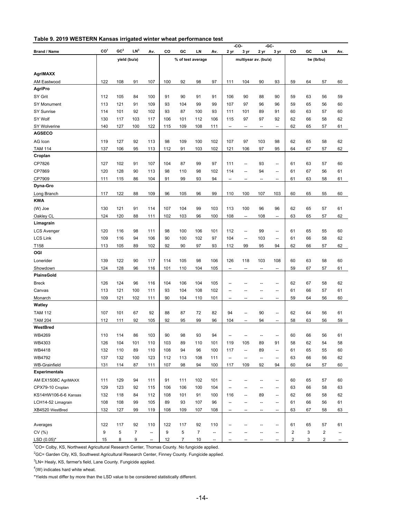|  |  | Table 9. 2019 WESTERN Kansas irrigated winter wheat performance test |
|--|--|----------------------------------------------------------------------|
|--|--|----------------------------------------------------------------------|

|                      |                 |                 |                 |                          |                   |                |                |                          |                          | -CO- |                          | GC.  |                         |    |                         |     |
|----------------------|-----------------|-----------------|-----------------|--------------------------|-------------------|----------------|----------------|--------------------------|--------------------------|------|--------------------------|------|-------------------------|----|-------------------------|-----|
| <b>Brand / Name</b>  | CO <sup>1</sup> | GC <sup>2</sup> | LN <sup>3</sup> | A۷.                      | co                | GC             | LN             | Av.                      | 2 yr                     | 3 yr | 2 yr                     | 3 yr | co                      | GC | LN                      | Av. |
|                      |                 |                 | yield (bu/a)    |                          | % of test average |                |                |                          | multiyear av. (bu/a)     |      |                          |      | tw (lb/bu)              |    |                         |     |
|                      |                 |                 |                 |                          |                   |                |                |                          |                          |      |                          |      |                         |    |                         |     |
| <b>AgriMAXX</b>      |                 |                 |                 |                          |                   |                |                |                          |                          |      |                          |      |                         |    |                         |     |
| AM Eastwood          | 122             | 108             | 91              | 107                      | 100               | 92             | 98             | 97                       | 111                      | 104  | 90                       | 93   | 59                      | 64 | 57                      | 60  |
| <b>AgriPro</b>       |                 |                 |                 |                          |                   |                |                |                          |                          |      |                          |      |                         |    |                         |     |
| SY Grit              | 112             | 105             | 84              | 100                      | 91                | 90             | 91             | 91                       | 106                      | 90   | 88                       | 90   | 59                      | 63 | 56                      | 59  |
| <b>SY Monument</b>   | 113             | 121             | 91              | 109                      | 93                | 104            | 99             | 99                       | 107                      | 97   | 96                       | 96   | 59                      | 65 | 56                      | 60  |
| <b>SY Sunrise</b>    | 114             | 101             | 92              | 102                      | 93                | 87             | 100            | 93                       | 111                      | 101  | 89                       | 91   | 60                      | 63 | 57                      | 60  |
| SY Wolf              | 130             | 117             | 103             | 117                      | 106               | 101            | 112            | 106                      | 115                      | 97   | 97                       | 92   | 62                      | 66 | 58                      | 62  |
| SY Wolverine         | 140             | 127             | 100             | 122                      | 115               | 109            | 108            | 111                      | --                       | --   | $\overline{\phantom{a}}$ | --   | 62                      | 65 | 57                      | 61  |
| <b>AGSECO</b>        |                 |                 |                 |                          |                   |                |                |                          |                          |      |                          |      |                         |    |                         |     |
| AG Icon              | 119             | 127             | 92              | 113                      | 98                | 109            | 100            | 102                      | 107                      | 97   | 103                      | 98   | 62                      | 65 | 58                      | 62  |
| <b>TAM 114</b>       | 137             | 106             | 95              | 113                      | 112               | 91             | 103            | 102                      | 121                      | 106  | 97                       | 95   | 64                      | 67 | 57                      | 62  |
| Croplan              |                 |                 |                 |                          |                   |                |                |                          |                          |      |                          |      |                         |    |                         |     |
| CP7826               | 127             | 102             | 91              | 107                      | 104               | 87             | 99             | 97                       | 111                      | --   | 93                       | --   | 61                      | 63 | 57                      | 60  |
| CP7869               | 120             | 128             | 90              | 113                      | 98                | 110            | 98             | 102                      | 114                      | --   | 94                       | --   | 61                      | 67 | 56                      | 61  |
| CP7909               | 111             | 115             | 86              | 104                      | 91                | 99             | 93             | 94                       | $\overline{a}$           | --   | $\overline{\phantom{a}}$ | --   | 61                      | 63 | 58                      | 61  |
| Dyna-Gro             |                 |                 |                 |                          |                   |                |                |                          |                          |      |                          |      |                         |    |                         |     |
| Long Branch          | 117             | 122             | 88              | 109                      | 96                | 105            | 96             | 99                       | 110                      | 100  | 107                      | 103  | 60                      | 65 | 55                      | 60  |
| <b>KWA</b>           |                 |                 |                 |                          |                   |                |                |                          |                          |      |                          |      |                         |    |                         |     |
| (W) Joe              | 130             | 121             | 91              | 114                      | 107               | 104            | 99             | 103                      | 113                      | 100  | 96                       | 96   | 62                      | 65 | 57                      | 61  |
| Oakley CL            | 124             | 120             | 88              | 111                      | 102               | 103            | 96             | 100                      | 108                      | --   | 108                      | --   | 63                      | 65 | 57                      | 62  |
| Limagrain            |                 |                 |                 |                          |                   |                |                |                          |                          |      |                          |      |                         |    |                         |     |
| <b>LCS Avenger</b>   | 120             | 116             | 98              | 111                      | 98                | 100            | 106            | 101                      | 112                      | --   | 99                       | --   | 61                      | 65 | 55                      | 60  |
| <b>LCS Link</b>      | 109             | 116             | 94              | 106                      | 90                | 100            | 102            | 97                       | 104                      | --   | 103                      | --   | 61                      | 66 | 58                      | 62  |
| T158                 | 113             | 105             | 89              | 102                      | 92                | 90             | 97             | 93                       | 112                      | 99   | 95                       | 94   | 62                      | 66 | 57                      | 62  |
| OGI                  |                 |                 |                 |                          |                   |                |                |                          |                          |      |                          |      |                         |    |                         |     |
| Lonerider            | 139             | 122             | 90              | 117                      | 114               | 105            | 98             | 106                      | 126                      | 118  | 103                      | 108  | 60                      | 63 | 58                      | 60  |
| Showdown             | 124             | 128             | 96              | 116                      | 101               | 110            | 104            | 105                      | --                       | --   | --                       | --   | 59                      | 67 | 57                      | 61  |
| <b>PlainsGold</b>    |                 |                 |                 |                          |                   |                |                |                          |                          |      |                          |      |                         |    |                         |     |
| <b>Breck</b>         | 126             | 124             | 96              | 116                      | 104               | 106            | 104            | 105                      |                          |      | --                       | --   | 62                      | 67 | 58                      | 62  |
| Canvas               | 113             | 121             | 100             | 111                      | 93                | 104            | 108            | 102                      | --                       |      | --                       | --   | 61                      | 66 | 57                      | 61  |
| Monarch              | 109             | 121             | 102             | 111                      | 90                | 104            | 110            | 101                      | --                       | -−   | --                       | --   | 59                      | 64 | 56                      | 60  |
| Watley               |                 |                 |                 |                          |                   |                |                |                          |                          |      |                          |      |                         |    |                         |     |
| <b>TAM 112</b>       | 107             | 101             | 67              | 92                       | 88                | 87             | 72             | 82                       | 94                       | --   | 90                       | --   | 62                      | 64 | 56                      | 61  |
| <b>TAM 204</b>       | 112             | 111             | 92              | 105                      | 92                | 95             | 99             | 96                       | 104                      | --   | 94                       | --   | 58                      | 63 | 56                      | 59  |
| WestBred             |                 |                 |                 |                          |                   |                |                |                          |                          |      |                          |      |                         |    |                         |     |
| WB4269               | 110             | 114             | 86              | 103                      | 90                | 98             | 93             | 94                       |                          |      |                          | --   | 60                      | 66 | 56                      | 61  |
| WB4303               | 126             | 104             | 101             | 110                      | 103               | 89             | 110            | 101                      | 119                      | 105  | 89                       | 91   | 58                      | 62 | 54                      | 58  |
| WB4418               | 132             | 110             | 89              | 110                      | 108               | 94             | 96             | 100                      | 117                      | --   | 89                       | --   | 61                      | 65 | 55                      | 60  |
| WB4792               | 137             | 132             | 100             | 123                      | 112               | 113            | 108            | 111                      | $\overline{\phantom{a}}$ | --   | --                       | --   | 63                      | 66 | 56                      | 62  |
| <b>WB-Grainfield</b> | 131             | 114             | 87              | 111                      | 107               | 98             | 94             | 100                      | 117                      | 109  | 92                       | 94   | 60                      | 64 | 57                      | 60  |
| <b>Experimentals</b> |                 |                 |                 |                          |                   |                |                |                          |                          |      |                          |      |                         |    |                         |     |
| AM EX1508C AgriMAXX  | 111             | 129             | 94              | 111                      | 91                | 111            | 102            | 101                      |                          |      | --                       | --   | 60                      | 65 | 57                      | 60  |
| CPX79-10 Croplan     | 129             | 123             | 92              | 115                      | 106               | 106            | 100            | 104                      | $\overline{\phantom{a}}$ | --   | --                       | --   | 63                      | 66 | 58                      | 63  |
| KS14HW106-6-6 Kansas | 132             | 118             | 84              | 112                      | 108               | 101            | 91             | 100                      | 116                      | --   | 89                       | --   | 62                      | 66 | 58                      | 62  |
| LCH14-52 Limagrain   | 108             | 108             | 99              | 105                      | 89                | 93             | 107            | 96                       | $\overline{\phantom{a}}$ | --   | --                       | --   | 61                      | 66 | 56                      | 61  |
| XB4520 WestBred      | 132             | 127             | 99              | 119                      | 108               | 109            | 107            | 108                      |                          | -−   | --                       | --   | 63                      | 67 | 58                      | 63  |
|                      |                 |                 |                 |                          |                   |                |                |                          |                          |      |                          |      |                         |    |                         |     |
| Averages             | 122             | 117             | 92              | 110                      | 122               | 117            | 92             | 110                      |                          |      | --                       | --   | 61                      | 65 | 57                      | 61  |
| CV(%)                | 9               | 5               | 7               | $\overline{\phantom{a}}$ | 9                 | 5              | $\overline{7}$ | $\overline{\phantom{a}}$ |                          |      | --                       | --   | $\overline{\mathbf{c}}$ | 3  | $\overline{\mathbf{c}}$ | --  |
| $LSD (0.05)^*$       | 15              | 8               | 9               | $\overline{\phantom{a}}$ | 12                | $\overline{7}$ | 10             | --                       |                          |      |                          | --   | $\overline{2}$          | 3  | $\overline{2}$          | --  |

<sup>1</sup>CO= Colby, KS, Northwest Agricultural Research Center, Thomas County. No fungicide applied.

 $^{2}$ GC= Garden City, KS, Southwest Agricultural Research Center, Finney County. Fungicide applied.

<sup>3</sup>LN= Healy, KS, farmer's field, Lane County. Fungicide applied.

 $4$ (W) indicates hard white wheat.